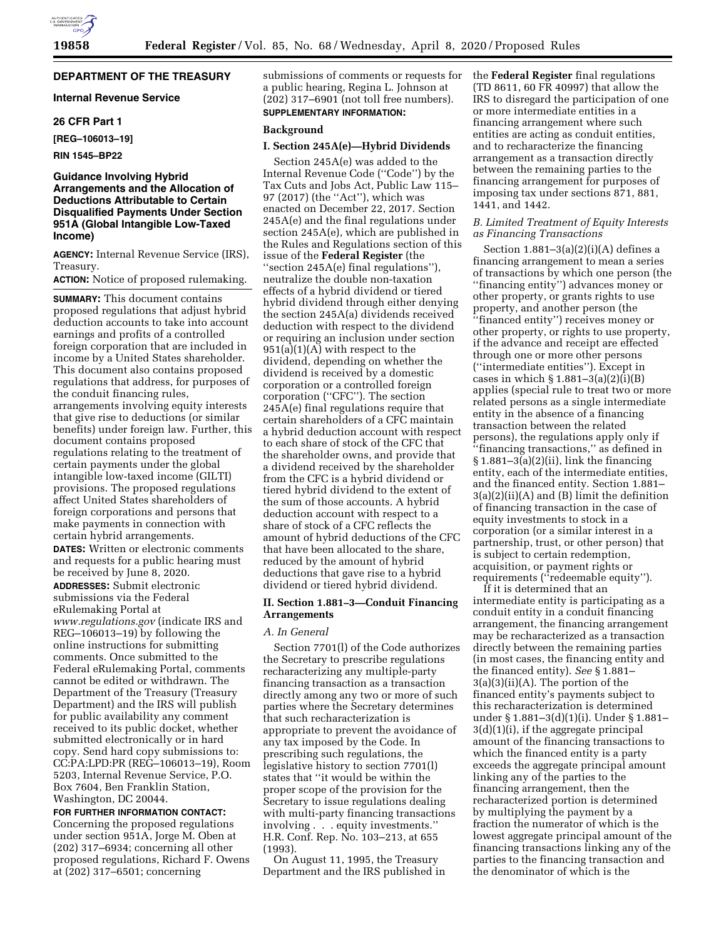# **DEPARTMENT OF THE TREASURY**

# **Internal Revenue Service**

#### **26 CFR Part 1**

**[REG–106013–19]** 

**RIN 1545–BP22** 

# **Guidance Involving Hybrid Arrangements and the Allocation of Deductions Attributable to Certain Disqualified Payments Under Section 951A (Global Intangible Low-Taxed Income)**

**AGENCY:** Internal Revenue Service (IRS), Treasury.

#### **ACTION:** Notice of proposed rulemaking.

**SUMMARY:** This document contains proposed regulations that adjust hybrid deduction accounts to take into account earnings and profits of a controlled foreign corporation that are included in income by a United States shareholder. This document also contains proposed regulations that address, for purposes of the conduit financing rules, arrangements involving equity interests that give rise to deductions (or similar benefits) under foreign law. Further, this document contains proposed regulations relating to the treatment of certain payments under the global intangible low-taxed income (GILTI) provisions. The proposed regulations affect United States shareholders of foreign corporations and persons that make payments in connection with certain hybrid arrangements. **DATES:** Written or electronic comments and requests for a public hearing must be received by June 8, 2020. **ADDRESSES:** Submit electronic submissions via the Federal eRulemaking Portal at *[www.regulations.gov](http://www.regulations.gov)* (indicate IRS and REG–106013–19) by following the online instructions for submitting comments. Once submitted to the Federal eRulemaking Portal, comments cannot be edited or withdrawn. The Department of the Treasury (Treasury Department) and the IRS will publish for public availability any comment received to its public docket, whether submitted electronically or in hard copy. Send hard copy submissions to: CC:PA:LPD:PR (REG–106013–19), Room 5203, Internal Revenue Service, P.O.

Box 7604, Ben Franklin Station, Washington, DC 20044.

**FOR FURTHER INFORMATION CONTACT:**  Concerning the proposed regulations under section 951A, Jorge M. Oben at (202) 317–6934; concerning all other proposed regulations, Richard F. Owens at (202) 317–6501; concerning

submissions of comments or requests for a public hearing, Regina L. Johnson at (202) 317–6901 (not toll free numbers). **SUPPLEMENTARY INFORMATION:** 

# **Background**

# **I. Section 245A(e)—Hybrid Dividends**

Section 245A(e) was added to the Internal Revenue Code (''Code'') by the Tax Cuts and Jobs Act, Public Law 115– 97 (2017) (the ''Act''), which was enacted on December 22, 2017. Section 245A(e) and the final regulations under section 245A(e), which are published in the Rules and Regulations section of this issue of the **Federal Register** (the ''section 245A(e) final regulations''), neutralize the double non-taxation effects of a hybrid dividend or tiered hybrid dividend through either denying the section 245A(a) dividends received deduction with respect to the dividend or requiring an inclusion under section  $951(a)(1)(A)$  with respect to the dividend, depending on whether the dividend is received by a domestic corporation or a controlled foreign corporation (''CFC''). The section 245A(e) final regulations require that certain shareholders of a CFC maintain a hybrid deduction account with respect to each share of stock of the CFC that the shareholder owns, and provide that a dividend received by the shareholder from the CFC is a hybrid dividend or tiered hybrid dividend to the extent of the sum of those accounts. A hybrid deduction account with respect to a share of stock of a CFC reflects the amount of hybrid deductions of the CFC that have been allocated to the share, reduced by the amount of hybrid deductions that gave rise to a hybrid dividend or tiered hybrid dividend.

#### **II. Section 1.881–3—Conduit Financing Arrangements**

#### *A. In General*

Section 7701(l) of the Code authorizes the Secretary to prescribe regulations recharacterizing any multiple-party financing transaction as a transaction directly among any two or more of such parties where the Secretary determines that such recharacterization is appropriate to prevent the avoidance of any tax imposed by the Code. In prescribing such regulations, the legislative history to section 7701(l) states that ''it would be within the proper scope of the provision for the Secretary to issue regulations dealing with multi-party financing transactions involving . . . equity investments.'' H.R. Conf. Rep. No. 103–213, at 655 (1993).

On August 11, 1995, the Treasury Department and the IRS published in the **Federal Register** final regulations (TD 8611, 60 FR 40997) that allow the IRS to disregard the participation of one or more intermediate entities in a financing arrangement where such entities are acting as conduit entities, and to recharacterize the financing arrangement as a transaction directly between the remaining parties to the financing arrangement for purposes of imposing tax under sections 871, 881, 1441, and 1442.

### *B. Limited Treatment of Equity Interests as Financing Transactions*

Section  $1.881-3(a)(2)(i)(A)$  defines a financing arrangement to mean a series of transactions by which one person (the ''financing entity'') advances money or other property, or grants rights to use property, and another person (the ''financed entity'') receives money or other property, or rights to use property, if the advance and receipt are effected through one or more other persons (''intermediate entities''). Except in cases in which  $\S 1.881-3(a)(2)(i)(B)$ applies (special rule to treat two or more related persons as a single intermediate entity in the absence of a financing transaction between the related persons), the regulations apply only if ''financing transactions,'' as defined in  $§ 1.881-3(a)(2)(ii)$ , link the financing entity, each of the intermediate entities, and the financed entity. Section 1.881– 3(a)(2)(ii)(A) and (B) limit the definition of financing transaction in the case of equity investments to stock in a corporation (or a similar interest in a partnership, trust, or other person) that is subject to certain redemption, acquisition, or payment rights or requirements (''redeemable equity'').

If it is determined that an intermediate entity is participating as a conduit entity in a conduit financing arrangement, the financing arrangement may be recharacterized as a transaction directly between the remaining parties (in most cases, the financing entity and the financed entity). *See* § 1.881– 3(a)(3)(ii)(A). The portion of the financed entity's payments subject to this recharacterization is determined under § 1.881–3(d)(1)(i). Under § 1.881– 3(d)(1)(i), if the aggregate principal amount of the financing transactions to which the financed entity is a party exceeds the aggregate principal amount linking any of the parties to the financing arrangement, then the recharacterized portion is determined by multiplying the payment by a fraction the numerator of which is the lowest aggregate principal amount of the financing transactions linking any of the parties to the financing transaction and the denominator of which is the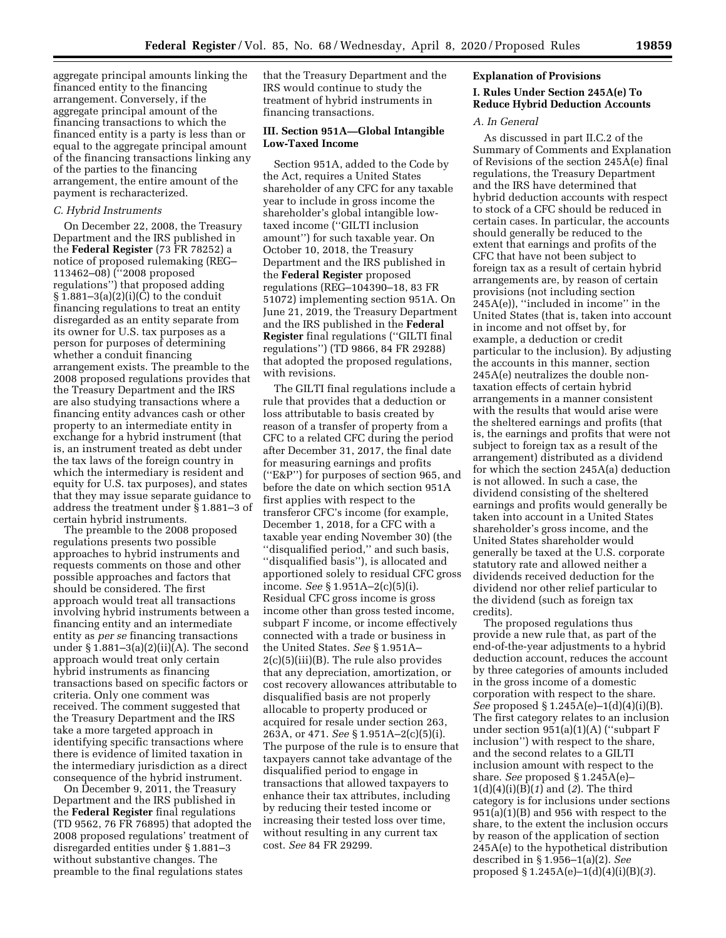aggregate principal amounts linking the financed entity to the financing arrangement. Conversely, if the aggregate principal amount of the financing transactions to which the financed entity is a party is less than or equal to the aggregate principal amount of the financing transactions linking any of the parties to the financing arrangement, the entire amount of the payment is recharacterized.

#### *C. Hybrid Instruments*

On December 22, 2008, the Treasury Department and the IRS published in the **Federal Register** (73 FR 78252) a notice of proposed rulemaking (REG– 113462–08) (''2008 proposed regulations'') that proposed adding  $§ 1.881-3(a)(2)(i)(C)$  to the conduit financing regulations to treat an entity disregarded as an entity separate from its owner for U.S. tax purposes as a person for purposes of determining whether a conduit financing arrangement exists. The preamble to the 2008 proposed regulations provides that the Treasury Department and the IRS are also studying transactions where a financing entity advances cash or other property to an intermediate entity in exchange for a hybrid instrument (that is, an instrument treated as debt under the tax laws of the foreign country in which the intermediary is resident and equity for U.S. tax purposes), and states that they may issue separate guidance to address the treatment under § 1.881–3 of certain hybrid instruments.

The preamble to the 2008 proposed regulations presents two possible approaches to hybrid instruments and requests comments on those and other possible approaches and factors that should be considered. The first approach would treat all transactions involving hybrid instruments between a financing entity and an intermediate entity as *per se* financing transactions under § 1.881–3(a)(2)(ii)(A). The second approach would treat only certain hybrid instruments as financing transactions based on specific factors or criteria. Only one comment was received. The comment suggested that the Treasury Department and the IRS take a more targeted approach in identifying specific transactions where there is evidence of limited taxation in the intermediary jurisdiction as a direct consequence of the hybrid instrument.

On December 9, 2011, the Treasury Department and the IRS published in the **Federal Register** final regulations (TD 9562, 76 FR 76895) that adopted the 2008 proposed regulations' treatment of disregarded entities under § 1.881–3 without substantive changes. The preamble to the final regulations states

that the Treasury Department and the IRS would continue to study the treatment of hybrid instruments in financing transactions.

# **III. Section 951A—Global Intangible Low-Taxed Income**

Section 951A, added to the Code by the Act, requires a United States shareholder of any CFC for any taxable year to include in gross income the shareholder's global intangible lowtaxed income (''GILTI inclusion amount'') for such taxable year. On October 10, 2018, the Treasury Department and the IRS published in the **Federal Register** proposed regulations (REG–104390–18, 83 FR 51072) implementing section 951A. On June 21, 2019, the Treasury Department and the IRS published in the **Federal Register** final regulations (''GILTI final regulations'') (TD 9866, 84 FR 29288) that adopted the proposed regulations, with revisions.

The GILTI final regulations include a rule that provides that a deduction or loss attributable to basis created by reason of a transfer of property from a CFC to a related CFC during the period after December 31, 2017, the final date for measuring earnings and profits (''E&P'') for purposes of section 965, and before the date on which section 951A first applies with respect to the transferor CFC's income (for example, December 1, 2018, for a CFC with a taxable year ending November 30) (the ''disqualified period,'' and such basis, ''disqualified basis''), is allocated and apportioned solely to residual CFC gross income. *See* § 1.951A–2(c)(5)(i). Residual CFC gross income is gross income other than gross tested income, subpart F income, or income effectively connected with a trade or business in the United States. *See* § 1.951A– 2(c)(5)(iii)(B). The rule also provides that any depreciation, amortization, or cost recovery allowances attributable to disqualified basis are not properly allocable to property produced or acquired for resale under section 263, 263A, or 471. *See* § 1.951A–2(c)(5)(i). The purpose of the rule is to ensure that taxpayers cannot take advantage of the disqualified period to engage in transactions that allowed taxpayers to enhance their tax attributes, including by reducing their tested income or increasing their tested loss over time, without resulting in any current tax cost. *See* 84 FR 29299.

#### **Explanation of Provisions**

# **I. Rules Under Section 245A(e) To Reduce Hybrid Deduction Accounts**

### *A. In General*

As discussed in part II.C.2 of the Summary of Comments and Explanation of Revisions of the section 245A(e) final regulations, the Treasury Department and the IRS have determined that hybrid deduction accounts with respect to stock of a CFC should be reduced in certain cases. In particular, the accounts should generally be reduced to the extent that earnings and profits of the CFC that have not been subject to foreign tax as a result of certain hybrid arrangements are, by reason of certain provisions (not including section 245A(e)), ''included in income'' in the United States (that is, taken into account in income and not offset by, for example, a deduction or credit particular to the inclusion). By adjusting the accounts in this manner, section 245A(e) neutralizes the double nontaxation effects of certain hybrid arrangements in a manner consistent with the results that would arise were the sheltered earnings and profits (that is, the earnings and profits that were not subject to foreign tax as a result of the arrangement) distributed as a dividend for which the section 245A(a) deduction is not allowed. In such a case, the dividend consisting of the sheltered earnings and profits would generally be taken into account in a United States shareholder's gross income, and the United States shareholder would generally be taxed at the U.S. corporate statutory rate and allowed neither a dividends received deduction for the dividend nor other relief particular to the dividend (such as foreign tax credits).

The proposed regulations thus provide a new rule that, as part of the end-of-the-year adjustments to a hybrid deduction account, reduces the account by three categories of amounts included in the gross income of a domestic corporation with respect to the share. *See* proposed § 1.245A(e)–1(d)(4)(i)(B). The first category relates to an inclusion under section 951(a)(1)(A) (''subpart F inclusion'') with respect to the share, and the second relates to a GILTI inclusion amount with respect to the share. *See* proposed § 1.245A(e)– 1(d)(4)(i)(B)(*1*) and (*2*). The third category is for inclusions under sections  $951(a)(1)(B)$  and 956 with respect to the share, to the extent the inclusion occurs by reason of the application of section 245A(e) to the hypothetical distribution described in § 1.956–1(a)(2). *See*  proposed § 1.245A(e)–1(d)(4)(i)(B)(*3*).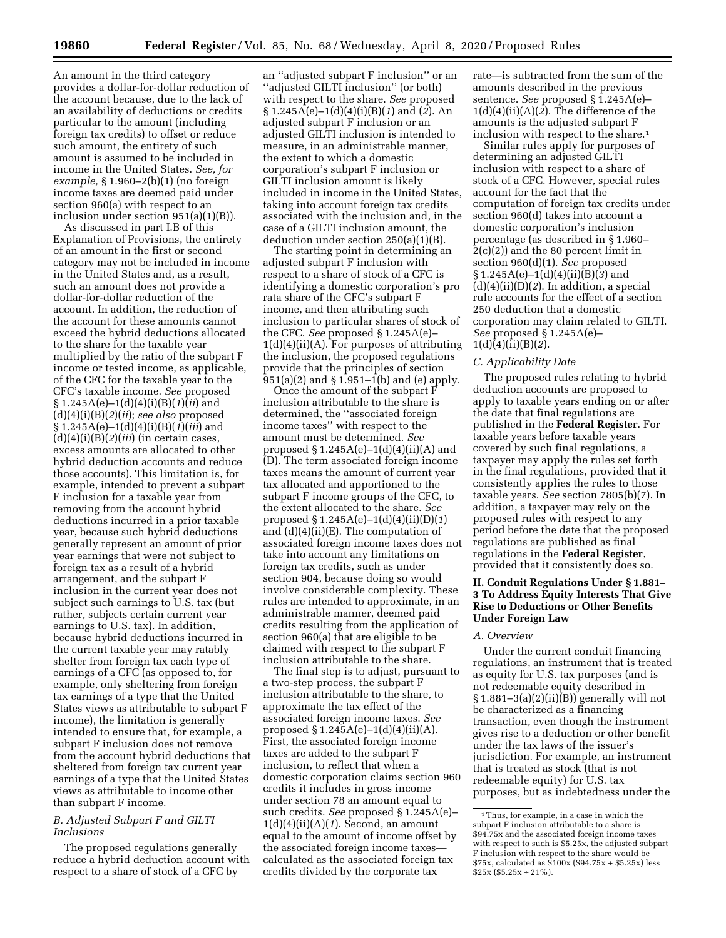An amount in the third category provides a dollar-for-dollar reduction of the account because, due to the lack of an availability of deductions or credits particular to the amount (including foreign tax credits) to offset or reduce such amount, the entirety of such amount is assumed to be included in income in the United States. *See, for example,* § 1.960–2(b)(1) (no foreign income taxes are deemed paid under section 960(a) with respect to an inclusion under section 951(a)(1)(B)).

As discussed in part I.B of this Explanation of Provisions, the entirety of an amount in the first or second category may not be included in income in the United States and, as a result, such an amount does not provide a dollar-for-dollar reduction of the account. In addition, the reduction of the account for these amounts cannot exceed the hybrid deductions allocated to the share for the taxable year multiplied by the ratio of the subpart F income or tested income, as applicable, of the CFC for the taxable year to the CFC's taxable income. *See* proposed § 1.245A(e)–1(d)(4)(i)(B)(*1*)(*ii*) and (d)(4)(i)(B)(*2*)(*ii*); *see also* proposed § 1.245A(e)–1(d)(4)(i)(B)(*1*)(*iii*) and (d)(4)(i)(B)(*2*)(*iii*) (in certain cases, excess amounts are allocated to other hybrid deduction accounts and reduce those accounts). This limitation is, for example, intended to prevent a subpart F inclusion for a taxable year from removing from the account hybrid deductions incurred in a prior taxable year, because such hybrid deductions generally represent an amount of prior year earnings that were not subject to foreign tax as a result of a hybrid arrangement, and the subpart F inclusion in the current year does not subject such earnings to U.S. tax (but rather, subjects certain current year earnings to U.S. tax). In addition, because hybrid deductions incurred in the current taxable year may ratably shelter from foreign tax each type of earnings of a CFC (as opposed to, for example, only sheltering from foreign tax earnings of a type that the United States views as attributable to subpart F income), the limitation is generally intended to ensure that, for example, a subpart F inclusion does not remove from the account hybrid deductions that sheltered from foreign tax current year earnings of a type that the United States views as attributable to income other than subpart F income.

#### *B. Adjusted Subpart F and GILTI Inclusions*

The proposed regulations generally reduce a hybrid deduction account with respect to a share of stock of a CFC by

an ''adjusted subpart F inclusion'' or an ''adjusted GILTI inclusion'' (or both) with respect to the share. *See* proposed § 1.245A(e)–1(d)(4)(i)(B)(*1*) and (*2*). An adjusted subpart F inclusion or an adjusted GILTI inclusion is intended to measure, in an administrable manner, the extent to which a domestic corporation's subpart F inclusion or GILTI inclusion amount is likely included in income in the United States, taking into account foreign tax credits associated with the inclusion and, in the case of a GILTI inclusion amount, the deduction under section 250(a)(1)(B).

The starting point in determining an adjusted subpart F inclusion with respect to a share of stock of a CFC is identifying a domestic corporation's pro rata share of the CFC's subpart F income, and then attributing such inclusion to particular shares of stock of the CFC. *See* proposed § 1.245A(e)– 1(d)(4)(ii)(A). For purposes of attributing the inclusion, the proposed regulations provide that the principles of section 951(a)(2) and § 1.951–1(b) and (e) apply.

Once the amount of the subpart F inclusion attributable to the share is determined, the ''associated foreign income taxes'' with respect to the amount must be determined. *See*  proposed  $\S 1.245A(e)-1(d)(4)(ii)(A)$  and (D). The term associated foreign income taxes means the amount of current year tax allocated and apportioned to the subpart F income groups of the CFC, to the extent allocated to the share. *See*  proposed § 1.245A(e)–1(d)(4)(ii)(D)(*1*) and (d)(4)(ii)(E). The computation of associated foreign income taxes does not take into account any limitations on foreign tax credits, such as under section 904, because doing so would involve considerable complexity. These rules are intended to approximate, in an administrable manner, deemed paid credits resulting from the application of section 960(a) that are eligible to be claimed with respect to the subpart F inclusion attributable to the share.

The final step is to adjust, pursuant to a two-step process, the subpart F inclusion attributable to the share, to approximate the tax effect of the associated foreign income taxes. *See*  proposed  $\S 1.245A(e)-1(d)(4)(ii)(A)$ . First, the associated foreign income taxes are added to the subpart F inclusion, to reflect that when a domestic corporation claims section 960 credits it includes in gross income under section 78 an amount equal to such credits. *See* proposed § 1.245A(e)– 1(d)(4)(ii)(A)(*1*). Second, an amount equal to the amount of income offset by the associated foreign income taxes calculated as the associated foreign tax credits divided by the corporate tax

rate—is subtracted from the sum of the amounts described in the previous sentence. *See* proposed § 1.245A(e)– 1(d)(4)(ii)(A)(*2*). The difference of the amounts is the adjusted subpart F inclusion with respect to the share.<sup>1</sup>

Similar rules apply for purposes of determining an adjusted GILTI inclusion with respect to a share of stock of a CFC. However, special rules account for the fact that the computation of foreign tax credits under section 960(d) takes into account a domestic corporation's inclusion percentage (as described in § 1.960– 2(c)(2)) and the 80 percent limit in section 960(d)(1). *See* proposed § 1.245A(e)–1(d)(4)(ii)(B)(*3*) and  $(d)(4)(ii)(D)(2)$ . In addition, a special rule accounts for the effect of a section 250 deduction that a domestic corporation may claim related to GILTI. *See* proposed § 1.245A(e)– 1(d)(4)(ii)(B)(*2*).

#### *C. Applicability Date*

The proposed rules relating to hybrid deduction accounts are proposed to apply to taxable years ending on or after the date that final regulations are published in the **Federal Register**. For taxable years before taxable years covered by such final regulations, a taxpayer may apply the rules set forth in the final regulations, provided that it consistently applies the rules to those taxable years. *See* section 7805(b)(7). In addition, a taxpayer may rely on the proposed rules with respect to any period before the date that the proposed regulations are published as final regulations in the **Federal Register**, provided that it consistently does so.

# **II. Conduit Regulations Under § 1.881– 3 To Address Equity Interests That Give Rise to Deductions or Other Benefits Under Foreign Law**

# *A. Overview*

Under the current conduit financing regulations, an instrument that is treated as equity for U.S. tax purposes (and is not redeemable equity described in  $§ 1.881-3(a)(2)(ii)(B))$  generally will not be characterized as a financing transaction, even though the instrument gives rise to a deduction or other benefit under the tax laws of the issuer's jurisdiction. For example, an instrument that is treated as stock (that is not redeemable equity) for U.S. tax purposes, but as indebtedness under the

<sup>1</sup>Thus, for example, in a case in which the subpart F inclusion attributable to a share is \$94.75x and the associated foreign income taxes with respect to such is \$5.25x, the adjusted subpart F inclusion with respect to the share would be \$75x, calculated as \$100x (\$94.75x + \$5.25x) less  $$25x ($5.25x + 21\%)$ .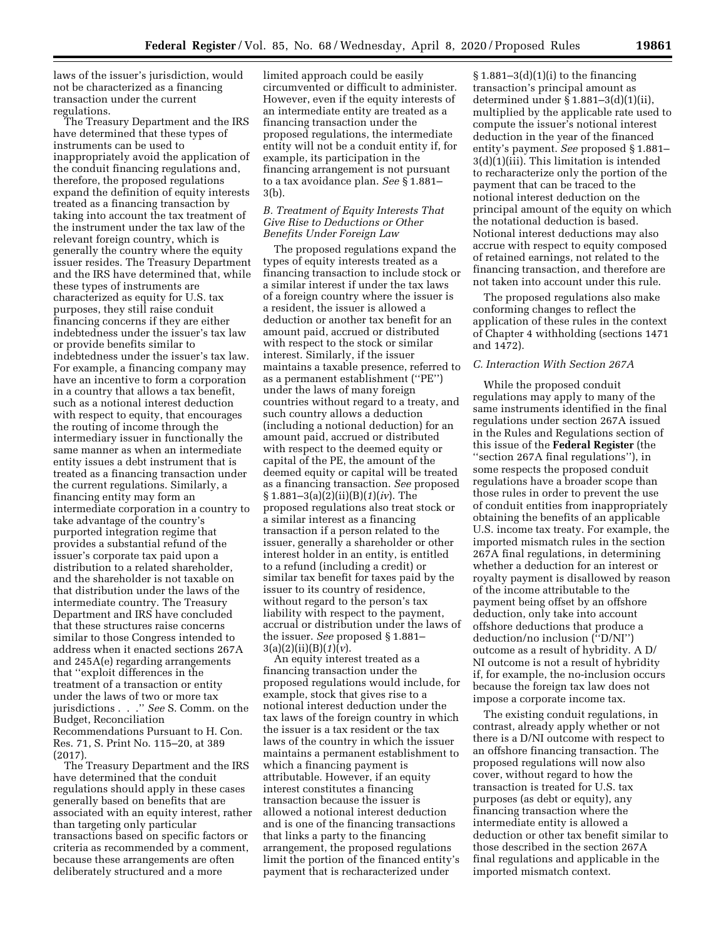laws of the issuer's jurisdiction, would not be characterized as a financing transaction under the current regulations.

The Treasury Department and the IRS have determined that these types of instruments can be used to inappropriately avoid the application of the conduit financing regulations and, therefore, the proposed regulations expand the definition of equity interests treated as a financing transaction by taking into account the tax treatment of the instrument under the tax law of the relevant foreign country, which is generally the country where the equity issuer resides. The Treasury Department and the IRS have determined that, while these types of instruments are characterized as equity for U.S. tax purposes, they still raise conduit financing concerns if they are either indebtedness under the issuer's tax law or provide benefits similar to indebtedness under the issuer's tax law. For example, a financing company may have an incentive to form a corporation in a country that allows a tax benefit, such as a notional interest deduction with respect to equity, that encourages the routing of income through the intermediary issuer in functionally the same manner as when an intermediate entity issues a debt instrument that is treated as a financing transaction under the current regulations. Similarly, a financing entity may form an intermediate corporation in a country to take advantage of the country's purported integration regime that provides a substantial refund of the issuer's corporate tax paid upon a distribution to a related shareholder, and the shareholder is not taxable on that distribution under the laws of the intermediate country. The Treasury Department and IRS have concluded that these structures raise concerns similar to those Congress intended to address when it enacted sections 267A and 245A(e) regarding arrangements that ''exploit differences in the treatment of a transaction or entity under the laws of two or more tax jurisdictions . . .'' *See* S. Comm. on the Budget, Reconciliation Recommendations Pursuant to H. Con. Res. 71, S. Print No. 115–20, at 389

(2017). The Treasury Department and the IRS have determined that the conduit regulations should apply in these cases generally based on benefits that are associated with an equity interest, rather than targeting only particular transactions based on specific factors or criteria as recommended by a comment, because these arrangements are often deliberately structured and a more

limited approach could be easily circumvented or difficult to administer. However, even if the equity interests of an intermediate entity are treated as a financing transaction under the proposed regulations, the intermediate entity will not be a conduit entity if, for example, its participation in the financing arrangement is not pursuant to a tax avoidance plan. *See* § 1.881– 3(b).

### *B. Treatment of Equity Interests That Give Rise to Deductions or Other Benefits Under Foreign Law*

The proposed regulations expand the types of equity interests treated as a financing transaction to include stock or a similar interest if under the tax laws of a foreign country where the issuer is a resident, the issuer is allowed a deduction or another tax benefit for an amount paid, accrued or distributed with respect to the stock or similar interest. Similarly, if the issuer maintains a taxable presence, referred to as a permanent establishment (''PE'') under the laws of many foreign countries without regard to a treaty, and such country allows a deduction (including a notional deduction) for an amount paid, accrued or distributed with respect to the deemed equity or capital of the PE, the amount of the deemed equity or capital will be treated as a financing transaction. *See* proposed § 1.881–3(a)(2)(ii)(B)(*1*)(*iv*). The proposed regulations also treat stock or a similar interest as a financing transaction if a person related to the issuer, generally a shareholder or other interest holder in an entity, is entitled to a refund (including a credit) or similar tax benefit for taxes paid by the issuer to its country of residence, without regard to the person's tax liability with respect to the payment, accrual or distribution under the laws of the issuer. *See* proposed § 1.881– 3(a)(2)(ii)(B)(*1*)(*v*).

An equity interest treated as a financing transaction under the proposed regulations would include, for example, stock that gives rise to a notional interest deduction under the tax laws of the foreign country in which the issuer is a tax resident or the tax laws of the country in which the issuer maintains a permanent establishment to which a financing payment is attributable. However, if an equity interest constitutes a financing transaction because the issuer is allowed a notional interest deduction and is one of the financing transactions that links a party to the financing arrangement, the proposed regulations limit the portion of the financed entity's payment that is recharacterized under

 $§ 1.881-3(d)(1)(i)$  to the financing transaction's principal amount as determined under § 1.881–3(d)(1)(ii), multiplied by the applicable rate used to compute the issuer's notional interest deduction in the year of the financed entity's payment. *See* proposed § 1.881– 3(d)(1)(iii). This limitation is intended to recharacterize only the portion of the payment that can be traced to the notional interest deduction on the principal amount of the equity on which the notational deduction is based. Notional interest deductions may also accrue with respect to equity composed of retained earnings, not related to the financing transaction, and therefore are not taken into account under this rule.

The proposed regulations also make conforming changes to reflect the application of these rules in the context of Chapter 4 withholding (sections 1471 and 1472).

#### *C. Interaction With Section 267A*

While the proposed conduit regulations may apply to many of the same instruments identified in the final regulations under section 267A issued in the Rules and Regulations section of this issue of the **Federal Register** (the ''section 267A final regulations''), in some respects the proposed conduit regulations have a broader scope than those rules in order to prevent the use of conduit entities from inappropriately obtaining the benefits of an applicable U.S. income tax treaty. For example, the imported mismatch rules in the section 267A final regulations, in determining whether a deduction for an interest or royalty payment is disallowed by reason of the income attributable to the payment being offset by an offshore deduction, only take into account offshore deductions that produce a deduction/no inclusion (''D/NI'') outcome as a result of hybridity. A D/ NI outcome is not a result of hybridity if, for example, the no-inclusion occurs because the foreign tax law does not impose a corporate income tax.

The existing conduit regulations, in contrast, already apply whether or not there is a D/NI outcome with respect to an offshore financing transaction. The proposed regulations will now also cover, without regard to how the transaction is treated for U.S. tax purposes (as debt or equity), any financing transaction where the intermediate entity is allowed a deduction or other tax benefit similar to those described in the section 267A final regulations and applicable in the imported mismatch context.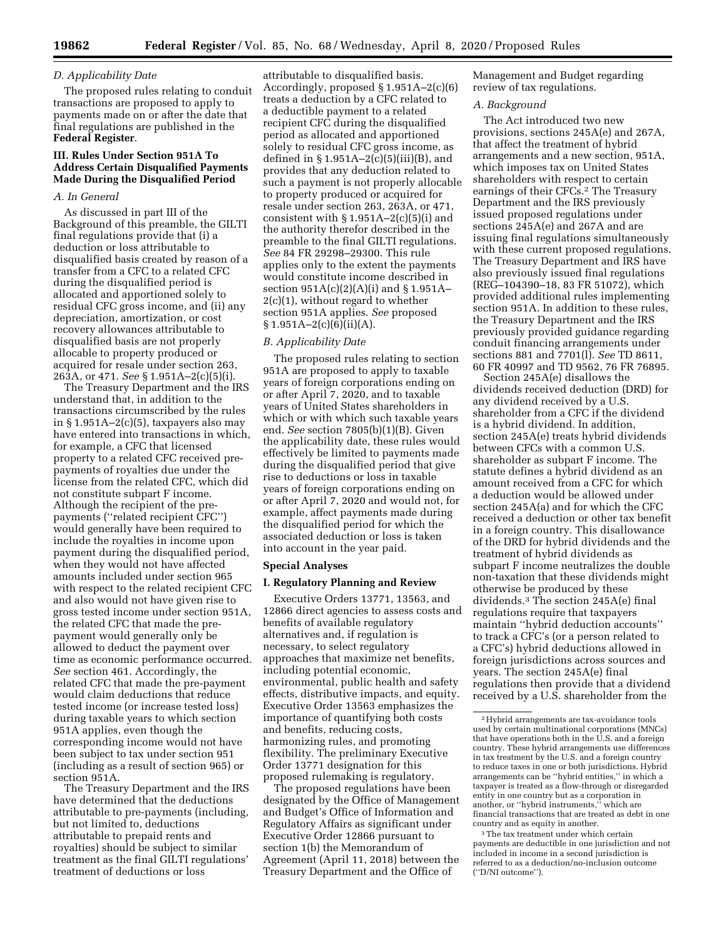# *D. Applicability Date*

The proposed rules relating to conduit transactions are proposed to apply to payments made on or after the date that final regulations are published in the **Federal Register**.

# **III. Rules Under Section 951A To Address Certain Disqualified Payments Made During the Disqualified Period**

# *A. In General*

As discussed in part III of the Background of this preamble, the GILTI final regulations provide that (i) a deduction or loss attributable to disqualified basis created by reason of a transfer from a CFC to a related CFC during the disqualified period is allocated and apportioned solely to residual CFC gross income, and (ii) any depreciation, amortization, or cost recovery allowances attributable to disqualified basis are not properly allocable to property produced or acquired for resale under section 263, 263A, or 471. *See* § 1.951A–2(c)(5)(i).

The Treasury Department and the IRS understand that, in addition to the transactions circumscribed by the rules in  $\S 1.951A - 2(c)(5)$ , taxpayers also may have entered into transactions in which, for example, a CFC that licensed property to a related CFC received prepayments of royalties due under the license from the related CFC, which did not constitute subpart F income. Although the recipient of the prepayments (''related recipient CFC'') would generally have been required to include the royalties in income upon payment during the disqualified period, when they would not have affected amounts included under section 965 with respect to the related recipient CFC and also would not have given rise to gross tested income under section 951A, the related CFC that made the prepayment would generally only be allowed to deduct the payment over time as economic performance occurred. *See* section 461. Accordingly, the related CFC that made the pre-payment would claim deductions that reduce tested income (or increase tested loss) during taxable years to which section 951A applies, even though the corresponding income would not have been subject to tax under section 951 (including as a result of section 965) or section 951A.

The Treasury Department and the IRS have determined that the deductions attributable to pre-payments (including, but not limited to, deductions attributable to prepaid rents and royalties) should be subject to similar treatment as the final GILTI regulations' treatment of deductions or loss

attributable to disqualified basis. Accordingly, proposed § 1.951A–2(c)(6) treats a deduction by a CFC related to a deductible payment to a related recipient CFC during the disqualified period as allocated and apportioned solely to residual CFC gross income, as defined in  $\S 1.951A - 2(c)(5)(iii)(B)$ , and provides that any deduction related to such a payment is not properly allocable to property produced or acquired for resale under section 263, 263A, or 471, consistent with  $\S 1.951A - 2(c)(5)(i)$  and the authority therefor described in the preamble to the final GILTI regulations. *See* 84 FR 29298–29300. This rule applies only to the extent the payments would constitute income described in section 951A(c)(2)(A)(i) and § 1.951A– 2(c)(1), without regard to whether section 951A applies. *See* proposed  $§ 1.951A - 2(c)(6)(ii)(A).$ 

# *B. Applicability Date*

The proposed rules relating to section 951A are proposed to apply to taxable years of foreign corporations ending on or after April 7, 2020, and to taxable years of United States shareholders in which or with which such taxable years end. *See* section 7805(b)(1)(B). Given the applicability date, these rules would effectively be limited to payments made during the disqualified period that give rise to deductions or loss in taxable years of foreign corporations ending on or after April 7, 2020 and would not, for example, affect payments made during the disqualified period for which the associated deduction or loss is taken into account in the year paid.

#### **Special Analyses**

#### **I. Regulatory Planning and Review**

Executive Orders 13771, 13563, and 12866 direct agencies to assess costs and benefits of available regulatory alternatives and, if regulation is necessary, to select regulatory approaches that maximize net benefits, including potential economic, environmental, public health and safety effects, distributive impacts, and equity. Executive Order 13563 emphasizes the importance of quantifying both costs and benefits, reducing costs, harmonizing rules, and promoting flexibility. The preliminary Executive Order 13771 designation for this proposed rulemaking is regulatory.

The proposed regulations have been designated by the Office of Management and Budget's Office of Information and Regulatory Affairs as significant under Executive Order 12866 pursuant to section 1(b) the Memorandum of Agreement (April 11, 2018) between the Treasury Department and the Office of

Management and Budget regarding review of tax regulations.

#### *A. Background*

The Act introduced two new provisions, sections 245A(e) and 267A, that affect the treatment of hybrid arrangements and a new section, 951A, which imposes tax on United States shareholders with respect to certain earnings of their CFCs.2 The Treasury Department and the IRS previously issued proposed regulations under sections 245A(e) and 267A and are issuing final regulations simultaneously with these current proposed regulations. The Treasury Department and IRS have also previously issued final regulations (REG–104390–18, 83 FR 51072), which provided additional rules implementing section 951A. In addition to these rules, the Treasury Department and the IRS previously provided guidance regarding conduit financing arrangements under sections 881 and 7701(l). *See* TD 8611, 60 FR 40997 and TD 9562, 76 FR 76895.

Section 245A(e) disallows the dividends received deduction (DRD) for any dividend received by a U.S. shareholder from a CFC if the dividend is a hybrid dividend. In addition, section 245A(e) treats hybrid dividends between CFCs with a common U.S. shareholder as subpart F income. The statute defines a hybrid dividend as an amount received from a CFC for which a deduction would be allowed under section 245A(a) and for which the CFC received a deduction or other tax benefit in a foreign country. This disallowance of the DRD for hybrid dividends and the treatment of hybrid dividends as subpart F income neutralizes the double non-taxation that these dividends might otherwise be produced by these dividends.3 The section 245A(e) final regulations require that taxpayers maintain ''hybrid deduction accounts'' to track a CFC's (or a person related to a CFC's) hybrid deductions allowed in foreign jurisdictions across sources and years. The section 245A(e) final regulations then provide that a dividend received by a U.S. shareholder from the

3The tax treatment under which certain payments are deductible in one jurisdiction and not included in income in a second jurisdiction is referred to as a deduction/no-inclusion outcome (''D/NI outcome'').

<sup>2</sup>Hybrid arrangements are tax-avoidance tools used by certain multinational corporations (MNCs) that have operations both in the U.S. and a foreign country. These hybrid arrangements use differences in tax treatment by the U.S. and a foreign country to reduce taxes in one or both jurisdictions. Hybrid arrangements can be ''hybrid entities,'' in which a taxpayer is treated as a flow-through or disregarded entity in one country but as a corporation in another, or ''hybrid instruments,'' which are financial transactions that are treated as debt in one country and as equity in another.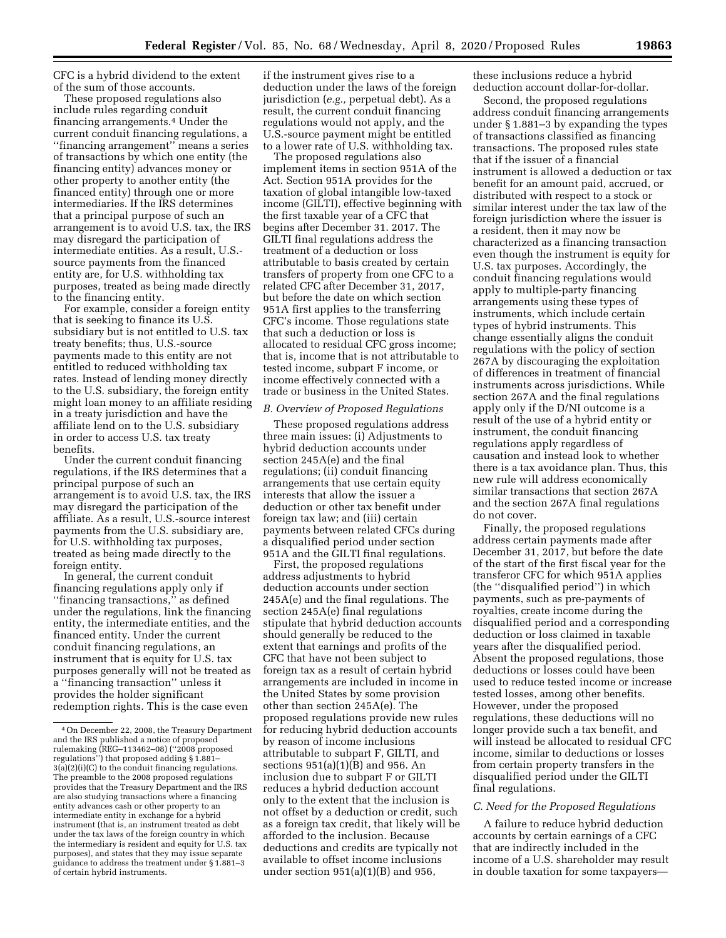CFC is a hybrid dividend to the extent of the sum of those accounts.

These proposed regulations also include rules regarding conduit financing arrangements.4 Under the current conduit financing regulations, a ''financing arrangement'' means a series of transactions by which one entity (the financing entity) advances money or other property to another entity (the financed entity) through one or more intermediaries. If the IRS determines that a principal purpose of such an arrangement is to avoid U.S. tax, the IRS may disregard the participation of intermediate entities. As a result, U.S. source payments from the financed entity are, for U.S. withholding tax purposes, treated as being made directly to the financing entity.

For example, consider a foreign entity that is seeking to finance its U.S. subsidiary but is not entitled to U.S. tax treaty benefits; thus, U.S.-source payments made to this entity are not entitled to reduced withholding tax rates. Instead of lending money directly to the U.S. subsidiary, the foreign entity might loan money to an affiliate residing in a treaty jurisdiction and have the affiliate lend on to the U.S. subsidiary in order to access U.S. tax treaty benefits.

Under the current conduit financing regulations, if the IRS determines that a principal purpose of such an arrangement is to avoid U.S. tax, the IRS may disregard the participation of the affiliate. As a result, U.S.-source interest payments from the U.S. subsidiary are, for U.S. withholding tax purposes, treated as being made directly to the foreign entity.

In general, the current conduit financing regulations apply only if ''financing transactions,'' as defined under the regulations, link the financing entity, the intermediate entities, and the financed entity. Under the current conduit financing regulations, an instrument that is equity for U.S. tax purposes generally will not be treated as a ''financing transaction'' unless it provides the holder significant redemption rights. This is the case even

if the instrument gives rise to a deduction under the laws of the foreign jurisdiction (*e.g.,* perpetual debt). As a result, the current conduit financing regulations would not apply, and the U.S.-source payment might be entitled to a lower rate of U.S. withholding tax.

The proposed regulations also implement items in section 951A of the Act. Section 951A provides for the taxation of global intangible low-taxed income (GILTI), effective beginning with the first taxable year of a CFC that begins after December 31. 2017. The GILTI final regulations address the treatment of a deduction or loss attributable to basis created by certain transfers of property from one CFC to a related CFC after December 31, 2017, but before the date on which section 951A first applies to the transferring CFC's income. Those regulations state that such a deduction or loss is allocated to residual CFC gross income; that is, income that is not attributable to tested income, subpart F income, or income effectively connected with a trade or business in the United States.

#### *B. Overview of Proposed Regulations*

These proposed regulations address three main issues: (i) Adjustments to hybrid deduction accounts under section 245A(e) and the final regulations; (ii) conduit financing arrangements that use certain equity interests that allow the issuer a deduction or other tax benefit under foreign tax law; and (iii) certain payments between related CFCs during a disqualified period under section 951A and the GILTI final regulations.

First, the proposed regulations address adjustments to hybrid deduction accounts under section 245A(e) and the final regulations. The section 245A(e) final regulations stipulate that hybrid deduction accounts should generally be reduced to the extent that earnings and profits of the CFC that have not been subject to foreign tax as a result of certain hybrid arrangements are included in income in the United States by some provision other than section 245A(e). The proposed regulations provide new rules for reducing hybrid deduction accounts by reason of income inclusions attributable to subpart F, GILTI, and sections 951(a)(1)(B) and 956. An inclusion due to subpart F or GILTI reduces a hybrid deduction account only to the extent that the inclusion is not offset by a deduction or credit, such as a foreign tax credit, that likely will be afforded to the inclusion. Because deductions and credits are typically not available to offset income inclusions under section  $951(a)(1)(B)$  and  $956$ ,

these inclusions reduce a hybrid deduction account dollar-for-dollar.

Second, the proposed regulations address conduit financing arrangements under § 1.881–3 by expanding the types of transactions classified as financing transactions. The proposed rules state that if the issuer of a financial instrument is allowed a deduction or tax benefit for an amount paid, accrued, or distributed with respect to a stock or similar interest under the tax law of the foreign jurisdiction where the issuer is a resident, then it may now be characterized as a financing transaction even though the instrument is equity for U.S. tax purposes. Accordingly, the conduit financing regulations would apply to multiple-party financing arrangements using these types of instruments, which include certain types of hybrid instruments. This change essentially aligns the conduit regulations with the policy of section 267A by discouraging the exploitation of differences in treatment of financial instruments across jurisdictions. While section 267A and the final regulations apply only if the D/NI outcome is a result of the use of a hybrid entity or instrument, the conduit financing regulations apply regardless of causation and instead look to whether there is a tax avoidance plan. Thus, this new rule will address economically similar transactions that section 267A and the section 267A final regulations do not cover.

Finally, the proposed regulations address certain payments made after December 31, 2017, but before the date of the start of the first fiscal year for the transferor CFC for which 951A applies (the ''disqualified period'') in which payments, such as pre-payments of royalties, create income during the disqualified period and a corresponding deduction or loss claimed in taxable years after the disqualified period. Absent the proposed regulations, those deductions or losses could have been used to reduce tested income or increase tested losses, among other benefits. However, under the proposed regulations, these deductions will no longer provide such a tax benefit, and will instead be allocated to residual CFC income, similar to deductions or losses from certain property transfers in the disqualified period under the GILTI final regulations.

# *C. Need for the Proposed Regulations*

A failure to reduce hybrid deduction accounts by certain earnings of a CFC that are indirectly included in the income of a U.S. shareholder may result in double taxation for some taxpayers—

<sup>4</sup>On December 22, 2008, the Treasury Department and the IRS published a notice of proposed rulemaking (REG–113462–08) (''2008 proposed regulations'') that proposed adding § 1.881– 3(a)(2)(i)(C) to the conduit financing regulations. The preamble to the 2008 proposed regulations provides that the Treasury Department and the IRS are also studying transactions where a financing entity advances cash or other property to an intermediate entity in exchange for a hybrid instrument (that is, an instrument treated as debt under the tax laws of the foreign country in which the intermediary is resident and equity for U.S. tax purposes), and states that they may issue separate guidance to address the treatment under § 1.881–3 of certain hybrid instruments.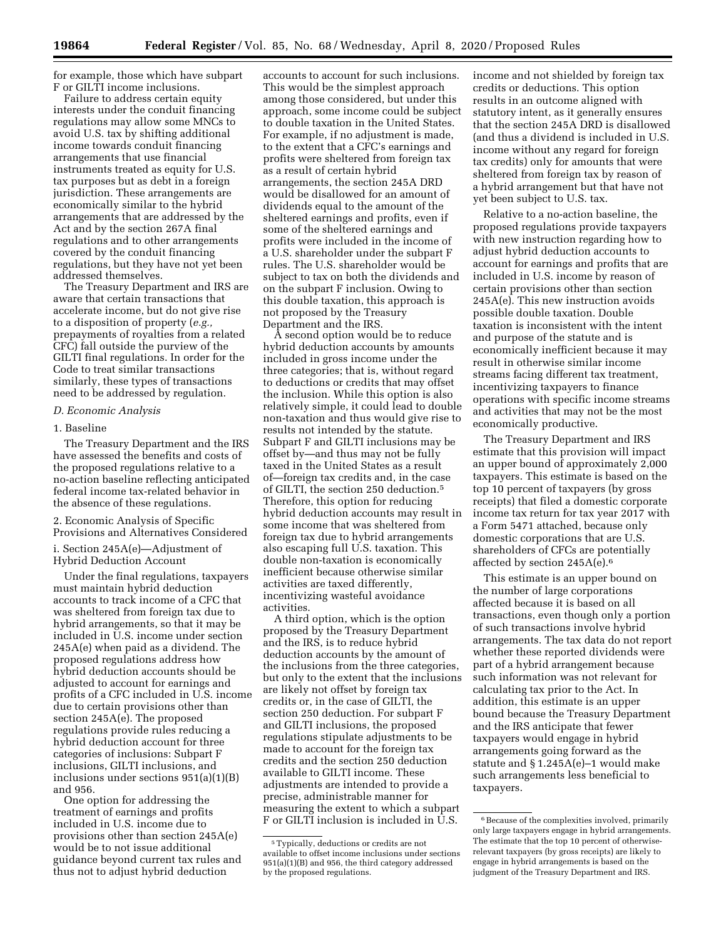for example, those which have subpart F or GILTI income inclusions.

Failure to address certain equity interests under the conduit financing regulations may allow some MNCs to avoid U.S. tax by shifting additional income towards conduit financing arrangements that use financial instruments treated as equity for U.S. tax purposes but as debt in a foreign jurisdiction. These arrangements are economically similar to the hybrid arrangements that are addressed by the Act and by the section 267A final regulations and to other arrangements covered by the conduit financing regulations, but they have not yet been addressed themselves.

The Treasury Department and IRS are aware that certain transactions that accelerate income, but do not give rise to a disposition of property (*e.g.,*  prepayments of royalties from a related CFC) fall outside the purview of the GILTI final regulations. In order for the Code to treat similar transactions similarly, these types of transactions need to be addressed by regulation.

#### *D. Economic Analysis*

#### 1. Baseline

The Treasury Department and the IRS have assessed the benefits and costs of the proposed regulations relative to a no-action baseline reflecting anticipated federal income tax-related behavior in the absence of these regulations.

2. Economic Analysis of Specific Provisions and Alternatives Considered

i. Section 245A(e)—Adjustment of Hybrid Deduction Account

Under the final regulations, taxpayers must maintain hybrid deduction accounts to track income of a CFC that was sheltered from foreign tax due to hybrid arrangements, so that it may be included in U.S. income under section 245A(e) when paid as a dividend. The proposed regulations address how hybrid deduction accounts should be adjusted to account for earnings and profits of a CFC included in U.S. income due to certain provisions other than section 245A(e). The proposed regulations provide rules reducing a hybrid deduction account for three categories of inclusions: Subpart F inclusions, GILTI inclusions, and inclusions under sections 951(a)(1)(B) and 956.

One option for addressing the treatment of earnings and profits included in U.S. income due to provisions other than section 245A(e) would be to not issue additional guidance beyond current tax rules and thus not to adjust hybrid deduction

accounts to account for such inclusions. This would be the simplest approach among those considered, but under this approach, some income could be subject to double taxation in the United States. For example, if no adjustment is made, to the extent that a CFC's earnings and profits were sheltered from foreign tax as a result of certain hybrid arrangements, the section 245A DRD would be disallowed for an amount of dividends equal to the amount of the sheltered earnings and profits, even if some of the sheltered earnings and profits were included in the income of a U.S. shareholder under the subpart F rules. The U.S. shareholder would be subject to tax on both the dividends and on the subpart F inclusion. Owing to this double taxation, this approach is not proposed by the Treasury Department and the IRS.

A second option would be to reduce hybrid deduction accounts by amounts included in gross income under the three categories; that is, without regard to deductions or credits that may offset the inclusion. While this option is also relatively simple, it could lead to double non-taxation and thus would give rise to results not intended by the statute. Subpart F and GILTI inclusions may be offset by—and thus may not be fully taxed in the United States as a result of—foreign tax credits and, in the case of GILTI, the section 250 deduction.5 Therefore, this option for reducing hybrid deduction accounts may result in some income that was sheltered from foreign tax due to hybrid arrangements also escaping full U.S. taxation. This double non-taxation is economically inefficient because otherwise similar activities are taxed differently, incentivizing wasteful avoidance activities.

A third option, which is the option proposed by the Treasury Department and the IRS, is to reduce hybrid deduction accounts by the amount of the inclusions from the three categories, but only to the extent that the inclusions are likely not offset by foreign tax credits or, in the case of GILTI, the section 250 deduction. For subpart F and GILTI inclusions, the proposed regulations stipulate adjustments to be made to account for the foreign tax credits and the section 250 deduction available to GILTI income. These adjustments are intended to provide a precise, administrable manner for measuring the extent to which a subpart F or GILTI inclusion is included in U.S.

income and not shielded by foreign tax credits or deductions. This option results in an outcome aligned with statutory intent, as it generally ensures that the section 245A DRD is disallowed (and thus a dividend is included in U.S. income without any regard for foreign tax credits) only for amounts that were sheltered from foreign tax by reason of a hybrid arrangement but that have not yet been subject to U.S. tax.

Relative to a no-action baseline, the proposed regulations provide taxpayers with new instruction regarding how to adjust hybrid deduction accounts to account for earnings and profits that are included in U.S. income by reason of certain provisions other than section 245A(e). This new instruction avoids possible double taxation. Double taxation is inconsistent with the intent and purpose of the statute and is economically inefficient because it may result in otherwise similar income streams facing different tax treatment, incentivizing taxpayers to finance operations with specific income streams and activities that may not be the most economically productive.

The Treasury Department and IRS estimate that this provision will impact an upper bound of approximately 2,000 taxpayers. This estimate is based on the top 10 percent of taxpayers (by gross receipts) that filed a domestic corporate income tax return for tax year 2017 with a Form 5471 attached, because only domestic corporations that are U.S. shareholders of CFCs are potentially affected by section 245A(e).6

This estimate is an upper bound on the number of large corporations affected because it is based on all transactions, even though only a portion of such transactions involve hybrid arrangements. The tax data do not report whether these reported dividends were part of a hybrid arrangement because such information was not relevant for calculating tax prior to the Act. In addition, this estimate is an upper bound because the Treasury Department and the IRS anticipate that fewer taxpayers would engage in hybrid arrangements going forward as the statute and  $§ 1.245A(e)-1$  would make such arrangements less beneficial to taxpayers.

<sup>5</sup>Typically, deductions or credits are not available to offset income inclusions under sections 951(a)(1)(B) and 956, the third category addressed by the proposed regulations.

<sup>&</sup>lt;sup>6</sup> Because of the complexities involved, primarily only large taxpayers engage in hybrid arrangements. The estimate that the top 10 percent of otherwiserelevant taxpayers (by gross receipts) are likely to engage in hybrid arrangements is based on the judgment of the Treasury Department and IRS.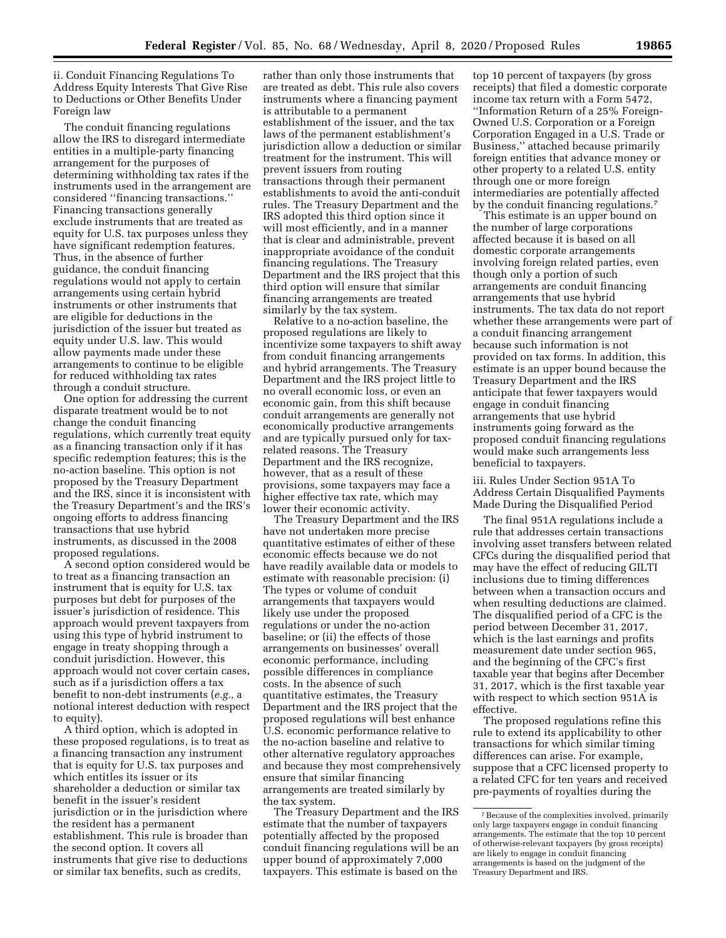ii. Conduit Financing Regulations To Address Equity Interests That Give Rise to Deductions or Other Benefits Under Foreign law

The conduit financing regulations allow the IRS to disregard intermediate entities in a multiple-party financing arrangement for the purposes of determining withholding tax rates if the instruments used in the arrangement are considered ''financing transactions.'' Financing transactions generally exclude instruments that are treated as equity for U.S. tax purposes unless they have significant redemption features. Thus, in the absence of further guidance, the conduit financing regulations would not apply to certain arrangements using certain hybrid instruments or other instruments that are eligible for deductions in the jurisdiction of the issuer but treated as equity under U.S. law. This would allow payments made under these arrangements to continue to be eligible for reduced withholding tax rates through a conduit structure.

One option for addressing the current disparate treatment would be to not change the conduit financing regulations, which currently treat equity as a financing transaction only if it has specific redemption features; this is the no-action baseline. This option is not proposed by the Treasury Department and the IRS, since it is inconsistent with the Treasury Department's and the IRS's ongoing efforts to address financing transactions that use hybrid instruments, as discussed in the 2008 proposed regulations.

A second option considered would be to treat as a financing transaction an instrument that is equity for U.S. tax purposes but debt for purposes of the issuer's jurisdiction of residence. This approach would prevent taxpayers from using this type of hybrid instrument to engage in treaty shopping through a conduit jurisdiction. However, this approach would not cover certain cases, such as if a jurisdiction offers a tax benefit to non-debt instruments (*e.g.,* a notional interest deduction with respect to equity).

A third option, which is adopted in these proposed regulations, is to treat as a financing transaction any instrument that is equity for U.S. tax purposes and which entitles its issuer or its shareholder a deduction or similar tax benefit in the issuer's resident jurisdiction or in the jurisdiction where the resident has a permanent establishment. This rule is broader than the second option. It covers all instruments that give rise to deductions or similar tax benefits, such as credits,

rather than only those instruments that are treated as debt. This rule also covers instruments where a financing payment is attributable to a permanent establishment of the issuer, and the tax laws of the permanent establishment's jurisdiction allow a deduction or similar treatment for the instrument. This will prevent issuers from routing transactions through their permanent establishments to avoid the anti-conduit rules. The Treasury Department and the IRS adopted this third option since it will most efficiently, and in a manner that is clear and administrable, prevent inappropriate avoidance of the conduit financing regulations. The Treasury Department and the IRS project that this third option will ensure that similar financing arrangements are treated similarly by the tax system.

Relative to a no-action baseline, the proposed regulations are likely to incentivize some taxpayers to shift away from conduit financing arrangements and hybrid arrangements. The Treasury Department and the IRS project little to no overall economic loss, or even an economic gain, from this shift because conduit arrangements are generally not economically productive arrangements and are typically pursued only for taxrelated reasons. The Treasury Department and the IRS recognize, however, that as a result of these provisions, some taxpayers may face a higher effective tax rate, which may lower their economic activity.

The Treasury Department and the IRS have not undertaken more precise quantitative estimates of either of these economic effects because we do not have readily available data or models to estimate with reasonable precision: (i) The types or volume of conduit arrangements that taxpayers would likely use under the proposed regulations or under the no-action baseline; or (ii) the effects of those arrangements on businesses' overall economic performance, including possible differences in compliance costs. In the absence of such quantitative estimates, the Treasury Department and the IRS project that the proposed regulations will best enhance U.S. economic performance relative to the no-action baseline and relative to other alternative regulatory approaches and because they most comprehensively ensure that similar financing arrangements are treated similarly by the tax system.

The Treasury Department and the IRS estimate that the number of taxpayers potentially affected by the proposed conduit financing regulations will be an upper bound of approximately 7,000 taxpayers. This estimate is based on the

top 10 percent of taxpayers (by gross receipts) that filed a domestic corporate income tax return with a Form 5472, ''Information Return of a 25% Foreign-Owned U.S. Corporation or a Foreign Corporation Engaged in a U.S. Trade or Business,'' attached because primarily foreign entities that advance money or other property to a related U.S. entity through one or more foreign intermediaries are potentially affected by the conduit financing regulations.<sup>7</sup>

This estimate is an upper bound on the number of large corporations affected because it is based on all domestic corporate arrangements involving foreign related parties, even though only a portion of such arrangements are conduit financing arrangements that use hybrid instruments. The tax data do not report whether these arrangements were part of a conduit financing arrangement because such information is not provided on tax forms. In addition, this estimate is an upper bound because the Treasury Department and the IRS anticipate that fewer taxpayers would engage in conduit financing arrangements that use hybrid instruments going forward as the proposed conduit financing regulations would make such arrangements less beneficial to taxpayers.

iii. Rules Under Section 951A To Address Certain Disqualified Payments Made During the Disqualified Period

The final 951A regulations include a rule that addresses certain transactions involving asset transfers between related CFCs during the disqualified period that may have the effect of reducing GILTI inclusions due to timing differences between when a transaction occurs and when resulting deductions are claimed. The disqualified period of a CFC is the period between December 31, 2017, which is the last earnings and profits measurement date under section 965, and the beginning of the CFC's first taxable year that begins after December 31, 2017, which is the first taxable year with respect to which section 951A is effective.

The proposed regulations refine this rule to extend its applicability to other transactions for which similar timing differences can arise. For example, suppose that a CFC licensed property to a related CFC for ten years and received pre-payments of royalties during the

<sup>7</sup>Because of the complexities involved, primarily only large taxpayers engage in conduit financing arrangements. The estimate that the top 10 percent of otherwise-relevant taxpayers (by gross receipts) are likely to engage in conduit financing arrangements is based on the judgment of the Treasury Department and IRS.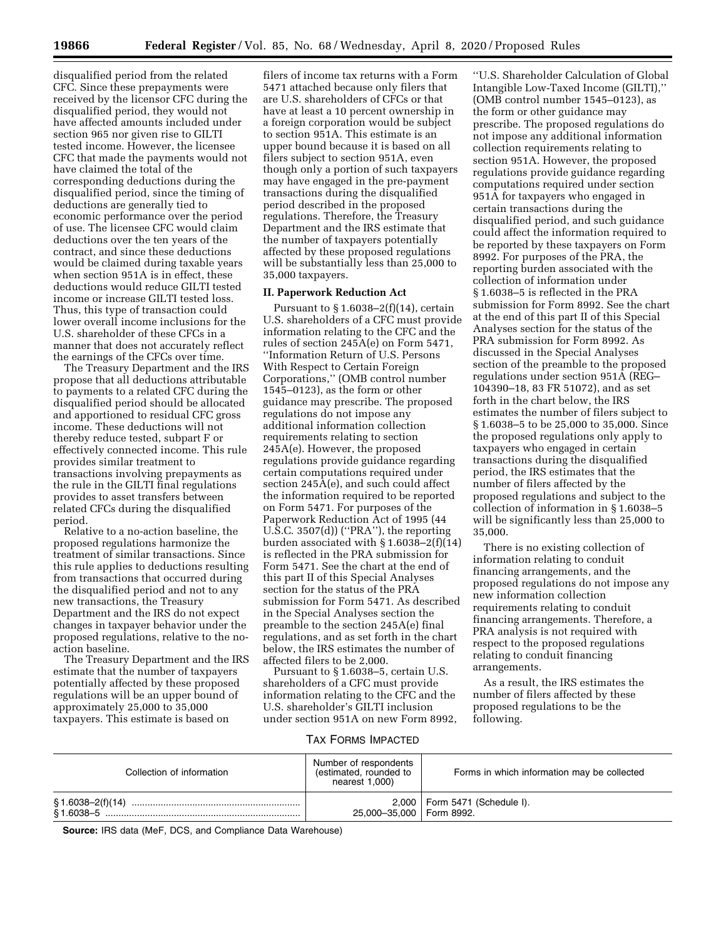disqualified period from the related CFC. Since these prepayments were received by the licensor CFC during the disqualified period, they would not have affected amounts included under section 965 nor given rise to GILTI tested income. However, the licensee CFC that made the payments would not have claimed the total of the corresponding deductions during the disqualified period, since the timing of deductions are generally tied to economic performance over the period of use. The licensee CFC would claim deductions over the ten years of the contract, and since these deductions would be claimed during taxable years when section 951A is in effect, these deductions would reduce GILTI tested income or increase GILTI tested loss. Thus, this type of transaction could lower overall income inclusions for the U.S. shareholder of these CFCs in a manner that does not accurately reflect the earnings of the CFCs over time.

The Treasury Department and the IRS propose that all deductions attributable to payments to a related CFC during the disqualified period should be allocated and apportioned to residual CFC gross income. These deductions will not thereby reduce tested, subpart F or effectively connected income. This rule provides similar treatment to transactions involving prepayments as the rule in the GILTI final regulations provides to asset transfers between related CFCs during the disqualified period.

Relative to a no-action baseline, the proposed regulations harmonize the treatment of similar transactions. Since this rule applies to deductions resulting from transactions that occurred during the disqualified period and not to any new transactions, the Treasury Department and the IRS do not expect changes in taxpayer behavior under the proposed regulations, relative to the noaction baseline.

The Treasury Department and the IRS estimate that the number of taxpayers potentially affected by these proposed regulations will be an upper bound of approximately 25,000 to 35,000 taxpayers. This estimate is based on

filers of income tax returns with a Form 5471 attached because only filers that are U.S. shareholders of CFCs or that have at least a 10 percent ownership in a foreign corporation would be subject to section 951A. This estimate is an upper bound because it is based on all filers subject to section 951A, even though only a portion of such taxpayers may have engaged in the pre-payment transactions during the disqualified period described in the proposed regulations. Therefore, the Treasury Department and the IRS estimate that the number of taxpayers potentially affected by these proposed regulations will be substantially less than 25,000 to 35,000 taxpayers.

#### **II. Paperwork Reduction Act**

Pursuant to  $\S 1.6038 - 2(f)(14)$ , certain U.S. shareholders of a CFC must provide information relating to the CFC and the rules of section 245A(e) on Form 5471, ''Information Return of U.S. Persons With Respect to Certain Foreign Corporations,'' (OMB control number 1545–0123), as the form or other guidance may prescribe. The proposed regulations do not impose any additional information collection requirements relating to section 245A(e). However, the proposed regulations provide guidance regarding certain computations required under section 245A(e), and such could affect the information required to be reported on Form 5471. For purposes of the Paperwork Reduction Act of 1995 (44 U.S.C. 3507(d)) (''PRA''), the reporting burden associated with § 1.6038–2(f)(14) is reflected in the PRA submission for Form 5471. See the chart at the end of this part II of this Special Analyses section for the status of the PRA submission for Form 5471. As described in the Special Analyses section the preamble to the section 245A(e) final regulations, and as set forth in the chart below, the IRS estimates the number of affected filers to be 2,000.

Pursuant to § 1.6038–5, certain U.S. shareholders of a CFC must provide information relating to the CFC and the U.S. shareholder's GILTI inclusion under section 951A on new Form 8992,

''U.S. Shareholder Calculation of Global Intangible Low-Taxed Income (GILTI),'' (OMB control number 1545–0123), as the form or other guidance may prescribe. The proposed regulations do not impose any additional information collection requirements relating to section 951A. However, the proposed regulations provide guidance regarding computations required under section 951A for taxpayers who engaged in certain transactions during the disqualified period, and such guidance could affect the information required to be reported by these taxpayers on Form 8992. For purposes of the PRA, the reporting burden associated with the collection of information under § 1.6038–5 is reflected in the PRA submission for Form 8992. See the chart at the end of this part II of this Special Analyses section for the status of the PRA submission for Form 8992. As discussed in the Special Analyses section of the preamble to the proposed regulations under section 951A (REG– 104390–18, 83 FR 51072), and as set forth in the chart below, the IRS estimates the number of filers subject to § 1.6038–5 to be 25,000 to 35,000. Since the proposed regulations only apply to taxpayers who engaged in certain transactions during the disqualified period, the IRS estimates that the number of filers affected by the proposed regulations and subject to the collection of information in § 1.6038–5 will be significantly less than 25,000 to 35,000.

There is no existing collection of information relating to conduit financing arrangements, and the proposed regulations do not impose any new information collection requirements relating to conduit financing arrangements. Therefore, a PRA analysis is not required with respect to the proposed regulations relating to conduit financing arrangements.

As a result, the IRS estimates the number of filers affected by these proposed regulations to be the following.

TAX FORMS IMPACTED

| Collection of information | Number of respondents<br>(estimated, rounded to<br>nearest 1,000) | Forms in which information may be collected |
|---------------------------|-------------------------------------------------------------------|---------------------------------------------|
|                           | 25,000-35,000   Form 8992.                                        | 2,000   Form 5471 (Schedule I).             |

**Source:** IRS data (MeF, DCS, and Compliance Data Warehouse)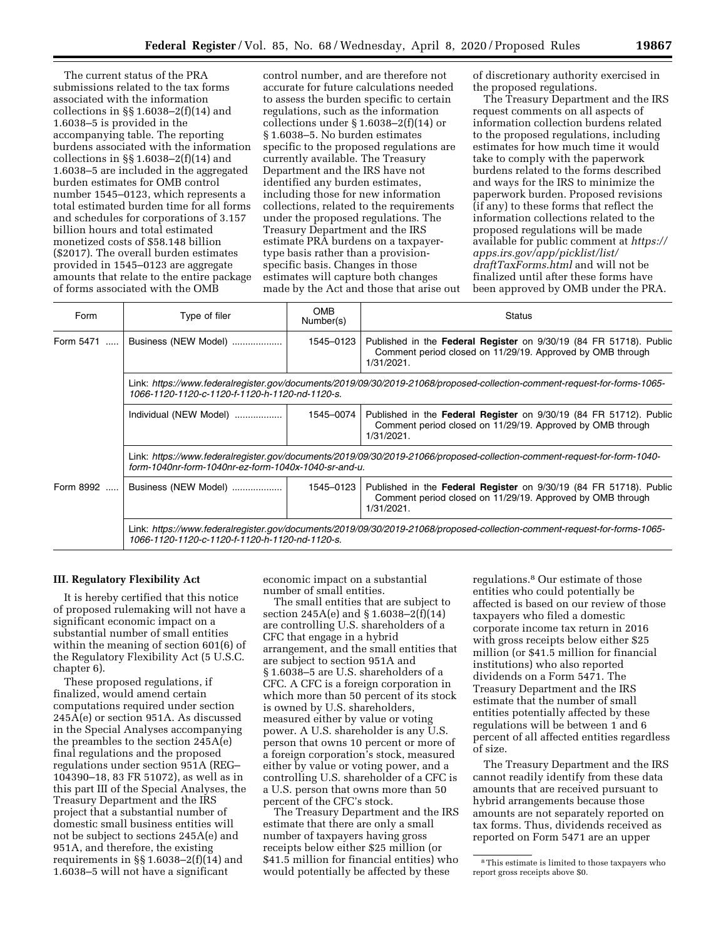The current status of the PRA submissions related to the tax forms associated with the information collections in  $\S$  1.6038–2(f)(14) and 1.6038–5 is provided in the accompanying table. The reporting burdens associated with the information collections in  $\S$  1.6038–2(f)(14) and 1.6038–5 are included in the aggregated burden estimates for OMB control number 1545–0123, which represents a total estimated burden time for all forms and schedules for corporations of 3.157 billion hours and total estimated monetized costs of \$58.148 billion (\$2017). The overall burden estimates provided in 1545–0123 are aggregate amounts that relate to the entire package of forms associated with the OMB

control number, and are therefore not accurate for future calculations needed to assess the burden specific to certain regulations, such as the information collections under § 1.6038–2(f)(14) or § 1.6038–5. No burden estimates specific to the proposed regulations are currently available. The Treasury Department and the IRS have not identified any burden estimates, including those for new information collections, related to the requirements under the proposed regulations. The Treasury Department and the IRS estimate PRA burdens on a taxpayertype basis rather than a provisionspecific basis. Changes in those estimates will capture both changes made by the Act and those that arise out of discretionary authority exercised in the proposed regulations.

The Treasury Department and the IRS request comments on all aspects of information collection burdens related to the proposed regulations, including estimates for how much time it would take to comply with the paperwork burdens related to the forms described and ways for the IRS to minimize the paperwork burden. Proposed revisions (if any) to these forms that reflect the information collections related to the proposed regulations will be made available for public comment at *[https://](https://apps.irs.gov/app/picklist/list/draftTaxForms.html)  [apps.irs.gov/app/picklist/list/](https://apps.irs.gov/app/picklist/list/draftTaxForms.html)  [draftTaxForms.html](https://apps.irs.gov/app/picklist/list/draftTaxForms.html)* and will not be finalized until after these forms have been approved by OMB under the PRA.

| Form                  | Type of filer                                                                                                                                                                    | <b>OMB</b><br>Number(s) | Status                                                                                                                                         |  |
|-----------------------|----------------------------------------------------------------------------------------------------------------------------------------------------------------------------------|-------------------------|------------------------------------------------------------------------------------------------------------------------------------------------|--|
| Form 5471<br>$\cdots$ | Business (NEW Model)                                                                                                                                                             | 1545-0123               | Published in the Federal Register on 9/30/19 (84 FR 51718). Public<br>Comment period closed on 11/29/19. Approved by OMB through<br>1/31/2021. |  |
|                       | Link: https://www.federalregister.gov/documents/2019/09/30/2019-21068/proposed-collection-comment-request-for-forms-1065-<br>1066-1120-1120-c-1120-f-1120-h-1120-nd-1120-s.      |                         |                                                                                                                                                |  |
|                       | Individual (NEW Model)                                                                                                                                                           | 1545-0074               | Published in the Federal Register on 9/30/19 (84 FR 51712). Public<br>Comment period closed on 11/29/19. Approved by OMB through<br>1/31/2021. |  |
|                       | Link: https://www.federalregister.gov/documents/2019/09/30/2019-21066/proposed-collection-comment-request-for-form-1040-<br>form-1040nr-form-1040nr-ez-form-1040x-1040-sr-and-u. |                         |                                                                                                                                                |  |
| Form 8992             | Business (NEW Model)                                                                                                                                                             | 1545-0123               | Published in the Federal Register on 9/30/19 (84 FR 51718). Public<br>Comment period closed on 11/29/19. Approved by OMB through<br>1/31/2021. |  |
|                       | Link: https://www.federalregister.gov/documents/2019/09/30/2019-21068/proposed-collection-comment-reguest-for-forms-1065-<br>1066-1120-1120-c-1120-f-1120-h-1120-nd-1120-s.      |                         |                                                                                                                                                |  |

# **III. Regulatory Flexibility Act**

It is hereby certified that this notice of proposed rulemaking will not have a significant economic impact on a substantial number of small entities within the meaning of section 601(6) of the Regulatory Flexibility Act (5 U.S.C. chapter 6).

These proposed regulations, if finalized, would amend certain computations required under section 245A(e) or section 951A. As discussed in the Special Analyses accompanying the preambles to the section 245A(e) final regulations and the proposed regulations under section 951A (REG– 104390–18, 83 FR 51072), as well as in this part III of the Special Analyses, the Treasury Department and the IRS project that a substantial number of domestic small business entities will not be subject to sections 245A(e) and 951A, and therefore, the existing requirements in §§ 1.6038–2(f)(14) and 1.6038–5 will not have a significant

economic impact on a substantial number of small entities.

The small entities that are subject to section 245A(e) and § 1.6038–2(f)(14) are controlling U.S. shareholders of a CFC that engage in a hybrid arrangement, and the small entities that are subject to section 951A and § 1.6038–5 are U.S. shareholders of a CFC. A CFC is a foreign corporation in which more than 50 percent of its stock is owned by U.S. shareholders, measured either by value or voting power. A U.S. shareholder is any U.S. person that owns 10 percent or more of a foreign corporation's stock, measured either by value or voting power, and a controlling U.S. shareholder of a CFC is a U.S. person that owns more than 50 percent of the CFC's stock.

The Treasury Department and the IRS estimate that there are only a small number of taxpayers having gross receipts below either \$25 million (or \$41.5 million for financial entities) who would potentially be affected by these

regulations.8 Our estimate of those entities who could potentially be affected is based on our review of those taxpayers who filed a domestic corporate income tax return in 2016 with gross receipts below either \$25 million (or \$41.5 million for financial institutions) who also reported dividends on a Form 5471. The Treasury Department and the IRS estimate that the number of small entities potentially affected by these regulations will be between 1 and 6 percent of all affected entities regardless of size.

The Treasury Department and the IRS cannot readily identify from these data amounts that are received pursuant to hybrid arrangements because those amounts are not separately reported on tax forms. Thus, dividends received as reported on Form 5471 are an upper

<sup>8</sup>This estimate is limited to those taxpayers who report gross receipts above \$0.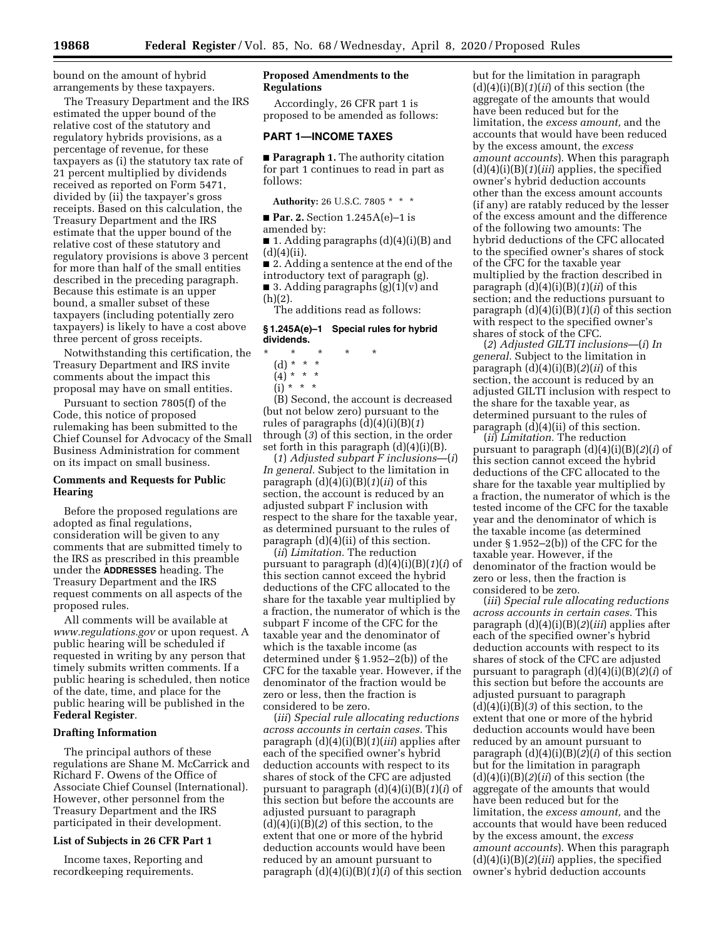bound on the amount of hybrid arrangements by these taxpayers.

The Treasury Department and the IRS estimated the upper bound of the relative cost of the statutory and regulatory hybrids provisions, as a percentage of revenue, for these taxpayers as (i) the statutory tax rate of 21 percent multiplied by dividends received as reported on Form 5471, divided by (ii) the taxpayer's gross receipts. Based on this calculation, the Treasury Department and the IRS estimate that the upper bound of the relative cost of these statutory and regulatory provisions is above 3 percent for more than half of the small entities described in the preceding paragraph. Because this estimate is an upper bound, a smaller subset of these taxpayers (including potentially zero taxpayers) is likely to have a cost above three percent of gross receipts.

Notwithstanding this certification, the Treasury Department and IRS invite comments about the impact this proposal may have on small entities.

Pursuant to section 7805(f) of the Code, this notice of proposed rulemaking has been submitted to the Chief Counsel for Advocacy of the Small Business Administration for comment on its impact on small business.

# **Comments and Requests for Public Hearing**

Before the proposed regulations are adopted as final regulations, consideration will be given to any comments that are submitted timely to the IRS as prescribed in this preamble under the **ADDRESSES** heading. The Treasury Department and the IRS request comments on all aspects of the proposed rules.

All comments will be available at *[www.regulations.gov](http://www.regulations.gov)* or upon request. A public hearing will be scheduled if requested in writing by any person that timely submits written comments. If a public hearing is scheduled, then notice of the date, time, and place for the public hearing will be published in the **Federal Register**.

### **Drafting Information**

The principal authors of these regulations are Shane M. McCarrick and Richard F. Owens of the Office of Associate Chief Counsel (International). However, other personnel from the Treasury Department and the IRS participated in their development.

# **List of Subjects in 26 CFR Part 1**

Income taxes, Reporting and recordkeeping requirements.

# **Proposed Amendments to the Regulations**

Accordingly, 26 CFR part 1 is proposed to be amended as follows:

#### **PART 1—INCOME TAXES**

■ **Paragraph 1.** The authority citation for part 1 continues to read in part as follows:

**Authority:** 26 U.S.C. 7805 \* \* \*

■ **Par. 2.** Section 1.245A(e)–1 is

amended by:

■ 1. Adding paragraphs (d)(4)(i)(B) and  $(d)(4)(ii)$ .

■ 2. Adding a sentence at the end of the

introductory text of paragraph (g).  $\blacksquare$  3. Adding paragraphs (g)(1)(v) and

 $(h)(2)$ .

The additions read as follows:

#### **§ 1.245A(e)–1 Special rules for hybrid dividends.**

- \* \* \* \* \*
	- (d) \* \* \*
	- $(4) * * * *$
	- $(i) * * * *$

(B) Second, the account is decreased (but not below zero) pursuant to the rules of paragraphs (d)(4)(i)(B)(*1*) through (*3*) of this section, in the order set forth in this paragraph  $(d)(4)(i)(B)$ .

(*1*) *Adjusted subpart F inclusions*—(*i*) *In general.* Subject to the limitation in paragraph (d)(4)(i)(B)(*1*)(*ii*) of this section, the account is reduced by an adjusted subpart F inclusion with respect to the share for the taxable year, as determined pursuant to the rules of paragraph (d)(4)(ii) of this section.

(*ii*) *Limitation.* The reduction pursuant to paragraph (d)(4)(i)(B)(*1*)(*i*) of this section cannot exceed the hybrid deductions of the CFC allocated to the share for the taxable year multiplied by a fraction, the numerator of which is the subpart F income of the CFC for the taxable year and the denominator of which is the taxable income (as determined under § 1.952–2(b)) of the CFC for the taxable year. However, if the denominator of the fraction would be zero or less, then the fraction is considered to be zero.

(*iii*) *Special rule allocating reductions across accounts in certain cases.* This paragraph (d)(4)(i)(B)(*1*)(*iii*) applies after each of the specified owner's hybrid deduction accounts with respect to its shares of stock of the CFC are adjusted pursuant to paragraph (d)(4)(i)(B)(*1*)(*i*) of this section but before the accounts are adjusted pursuant to paragraph (d)(4)(i)(B)(*2*) of this section, to the extent that one or more of the hybrid deduction accounts would have been reduced by an amount pursuant to paragraph (d)(4)(i)(B)(*1*)(*i*) of this section

but for the limitation in paragraph (d)(4)(i)(B)(*1*)(*ii*) of this section (the aggregate of the amounts that would have been reduced but for the limitation, the *excess amount,* and the accounts that would have been reduced by the excess amount, the *excess amount accounts*). When this paragraph (d)(4)(i)(B)(*1*)(*iii*) applies, the specified owner's hybrid deduction accounts other than the excess amount accounts (if any) are ratably reduced by the lesser of the excess amount and the difference of the following two amounts: The hybrid deductions of the CFC allocated to the specified owner's shares of stock of the CFC for the taxable year multiplied by the fraction described in paragraph (d)(4)(i)(B)(*1*)(*ii*) of this section; and the reductions pursuant to paragraph (d)(4)(i)(B)(*1*)(*i*) of this section with respect to the specified owner's shares of stock of the CFC.

(*2*) *Adjusted GILTI inclusions*—(*i*) *In general.* Subject to the limitation in paragraph (d)(4)(i)(B)(*2*)(*ii*) of this section, the account is reduced by an adjusted GILTI inclusion with respect to the share for the taxable year, as determined pursuant to the rules of paragraph (d)(4)(ii) of this section.

(*ii*) *Limitation.* The reduction pursuant to paragraph (d)(4)(i)(B)(*2*)(*i*) of this section cannot exceed the hybrid deductions of the CFC allocated to the share for the taxable year multiplied by a fraction, the numerator of which is the tested income of the CFC for the taxable year and the denominator of which is the taxable income (as determined under § 1.952–2(b)) of the CFC for the taxable year. However, if the denominator of the fraction would be zero or less, then the fraction is considered to be zero.

(*iii*) *Special rule allocating reductions across accounts in certain cases.* This paragraph (d)(4)(i)(B)(*2*)(*iii*) applies after each of the specified owner's hybrid deduction accounts with respect to its shares of stock of the CFC are adjusted pursuant to paragraph (d)(4)(i)(B)(*2*)(*i*) of this section but before the accounts are adjusted pursuant to paragraph  $(d)(4)(i)(B)(3)$  of this section, to the extent that one or more of the hybrid deduction accounts would have been reduced by an amount pursuant to paragraph (d)(4)(i)(B)(*2*)(*i*) of this section but for the limitation in paragraph  $(d)(4)(i)(B)(2)(ii)$  of this section (the aggregate of the amounts that would have been reduced but for the limitation, the *excess amount,* and the accounts that would have been reduced by the excess amount, the *excess amount accounts*). When this paragraph (d)(4)(i)(B)(*2*)(*iii*) applies, the specified owner's hybrid deduction accounts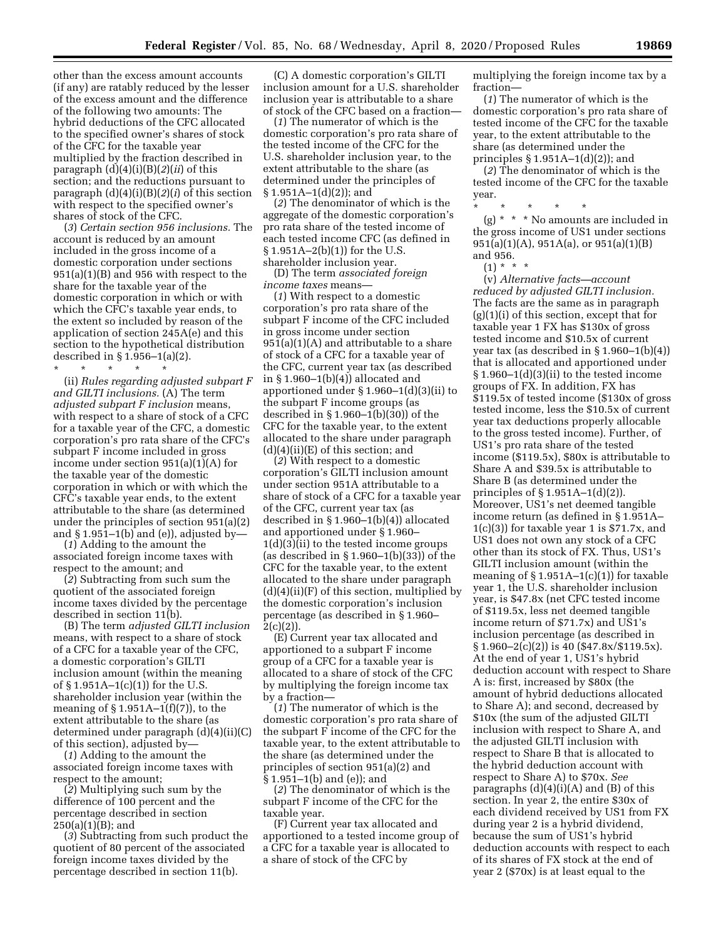other than the excess amount accounts (if any) are ratably reduced by the lesser of the excess amount and the difference of the following two amounts: The hybrid deductions of the CFC allocated to the specified owner's shares of stock of the CFC for the taxable year multiplied by the fraction described in paragraph (d)(4)(i)(B)(*2*)(*ii*) of this section; and the reductions pursuant to paragraph (d)(4)(i)(B)(*2*)(*i*) of this section with respect to the specified owner's shares of stock of the CFC.

(*3*) *Certain section 956 inclusions.* The account is reduced by an amount included in the gross income of a domestic corporation under sections 951(a)(1)(B) and 956 with respect to the share for the taxable year of the domestic corporation in which or with which the CFC's taxable year ends, to the extent so included by reason of the application of section 245A(e) and this section to the hypothetical distribution described in § 1.956–1(a)(2).

\* \* \* \* \* (ii) *Rules regarding adjusted subpart F and GILTI inclusions.* (A) The term *adjusted subpart F inclusion* means, with respect to a share of stock of a CFC for a taxable year of the CFC, a domestic corporation's pro rata share of the CFC's subpart F income included in gross income under section 951(a)(1)(A) for the taxable year of the domestic corporation in which or with which the CFC's taxable year ends, to the extent attributable to the share (as determined under the principles of section 951(a)(2) and  $\S 1.951-1(b)$  and (e)), adjusted by-

(*1*) Adding to the amount the associated foreign income taxes with respect to the amount; and

(*2*) Subtracting from such sum the quotient of the associated foreign income taxes divided by the percentage described in section 11(b).

(B) The term *adjusted GILTI inclusion*  means, with respect to a share of stock of a CFC for a taxable year of the CFC, a domestic corporation's GILTI inclusion amount (within the meaning of  $\S 1.951A-1(c)(1)$  for the U.S. shareholder inclusion year (within the meaning of  $\S 1.951A-1(f)(7)$ , to the extent attributable to the share (as determined under paragraph (d)(4)(ii)(C) of this section), adjusted by—

(*1*) Adding to the amount the associated foreign income taxes with respect to the amount;

(*2*) Multiplying such sum by the difference of 100 percent and the percentage described in section  $250(a)(1)(B)$ ; and

(*3*) Subtracting from such product the quotient of 80 percent of the associated foreign income taxes divided by the percentage described in section 11(b).

(C) A domestic corporation's GILTI inclusion amount for a U.S. shareholder inclusion year is attributable to a share of stock of the CFC based on a fraction—

(*1*) The numerator of which is the domestic corporation's pro rata share of the tested income of the CFC for the U.S. shareholder inclusion year, to the extent attributable to the share (as determined under the principles of  $§ 1.951A-1(d)(2);$  and

(*2*) The denominator of which is the aggregate of the domestic corporation's pro rata share of the tested income of each tested income CFC (as defined in § 1.951A–2(b)(1)) for the U.S. shareholder inclusion year.

(D) The term *associated foreign income taxes* means—

(*1*) With respect to a domestic corporation's pro rata share of the subpart F income of the CFC included in gross income under section  $951(a)(1)(A)$  and attributable to a share of stock of a CFC for a taxable year of the CFC, current year tax (as described in  $\S 1.960-1(b)(4)$  allocated and apportioned under § 1.960–1(d)(3)(ii) to the subpart F income groups (as described in § 1.960–1(b)(30)) of the CFC for the taxable year, to the extent allocated to the share under paragraph  $(d)(4)(ii)(E)$  of this section; and

(*2*) With respect to a domestic corporation's GILTI inclusion amount under section 951A attributable to a share of stock of a CFC for a taxable year of the CFC, current year tax (as described in § 1.960–1(b)(4)) allocated and apportioned under § 1.960– 1(d)(3)(ii) to the tested income groups (as described in  $\S 1.960-1(b)(33)$ ) of the CFC for the taxable year, to the extent allocated to the share under paragraph  $(d)(4)(ii)(F)$  of this section, multiplied by the domestic corporation's inclusion percentage (as described in § 1.960–  $2(c)(2)$ ).

(E) Current year tax allocated and apportioned to a subpart F income group of a CFC for a taxable year is allocated to a share of stock of the CFC by multiplying the foreign income tax by a fraction—

(*1*) The numerator of which is the domestic corporation's pro rata share of the subpart F income of the CFC for the taxable year, to the extent attributable to the share (as determined under the principles of section 951(a)(2) and § 1.951–1(b) and (e)); and

(*2*) The denominator of which is the subpart F income of the CFC for the taxable year.

(F) Current year tax allocated and apportioned to a tested income group of a CFC for a taxable year is allocated to a share of stock of the CFC by

multiplying the foreign income tax by a fraction—

(*1*) The numerator of which is the domestic corporation's pro rata share of tested income of the CFC for the taxable year, to the extent attributable to the share (as determined under the principles  $\S 1.951A-1(d)(2)$ ; and

(*2*) The denominator of which is the tested income of the CFC for the taxable year.

\* \* \* \* \* (g) \* \* \* No amounts are included in the gross income of US1 under sections 951(a)(1)(A), 951A(a), or 951(a)(1)(B) and 956.

 $(1) * * * *$ 

(v) *Alternative facts—account reduced by adjusted GILTI inclusion.*  The facts are the same as in paragraph (g)(1)(i) of this section, except that for taxable year 1 FX has \$130x of gross tested income and \$10.5x of current year tax (as described in  $\S 1.960-1(b)(4)$ ) that is allocated and apportioned under § 1.960–1(d)(3)(ii) to the tested income groups of FX. In addition, FX has \$119.5x of tested income (\$130x of gross tested income, less the \$10.5x of current year tax deductions properly allocable to the gross tested income). Further, of US1's pro rata share of the tested income (\$119.5x), \$80x is attributable to Share A and \$39.5x is attributable to Share B (as determined under the principles of § 1.951A–1(d)(2)). Moreover, US1's net deemed tangible income return (as defined in § 1.951A–  $1(c)(3)$  for taxable year 1 is \$71.7x, and US1 does not own any stock of a CFC other than its stock of FX. Thus, US1's GILTI inclusion amount (within the meaning of  $\S 1.951A-1(c)(1)$  for taxable year 1, the U.S. shareholder inclusion year, is \$47.8x (net CFC tested income of \$119.5x, less net deemed tangible income return of \$71.7x) and US1's inclusion percentage (as described in  $\S 1.960 - 2(c)(2)$  is 40 (\$47.8x/\$119.5x). At the end of year 1, US1's hybrid deduction account with respect to Share A is: first, increased by \$80x (the amount of hybrid deductions allocated to Share A); and second, decreased by \$10x (the sum of the adjusted GILTI inclusion with respect to Share A, and the adjusted GILTI inclusion with respect to Share B that is allocated to the hybrid deduction account with respect to Share A) to \$70x. *See*  paragraphs  $(d)(4)(i)(A)$  and  $(B)$  of this section. In year 2, the entire \$30x of each dividend received by US1 from FX during year 2 is a hybrid dividend, because the sum of US1's hybrid deduction accounts with respect to each of its shares of FX stock at the end of year 2 (\$70x) is at least equal to the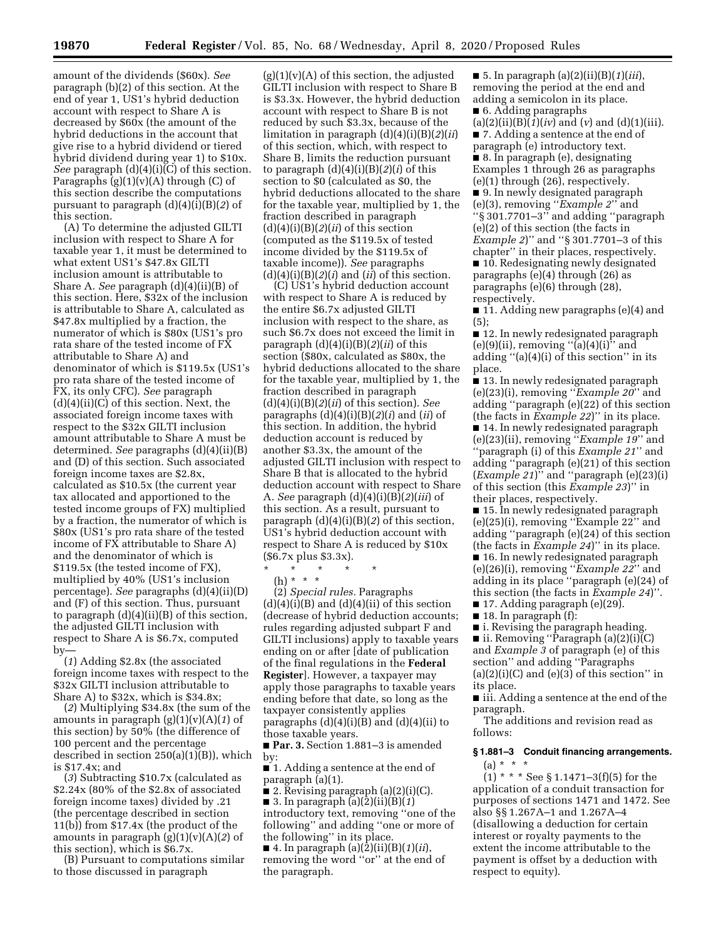amount of the dividends (\$60x). *See*  paragraph (b)(2) of this section. At the end of year 1, US1's hybrid deduction account with respect to Share A is decreased by \$60x (the amount of the hybrid deductions in the account that give rise to a hybrid dividend or tiered hybrid dividend during year 1) to \$10x. *See* paragraph (d)(4)(i)(C) of this section. Paragraphs  $(g)(1)(v)(A)$  through  $(C)$  of this section describe the computations pursuant to paragraph (d)(4)(i)(B)(*2*) of this section.

(A) To determine the adjusted GILTI inclusion with respect to Share A for taxable year 1, it must be determined to what extent US1's \$47.8x GILTI inclusion amount is attributable to Share A. *See* paragraph (d)(4)(ii)(B) of this section. Here, \$32x of the inclusion is attributable to Share A, calculated as \$47.8x multiplied by a fraction, the numerator of which is \$80x (US1's pro rata share of the tested income of FX attributable to Share A) and denominator of which is \$119.5x (US1's pro rata share of the tested income of FX, its only CFC). *See* paragraph  $(d)(4)(ii)(C)$  of this section. Next, the associated foreign income taxes with respect to the \$32x GILTI inclusion amount attributable to Share A must be determined. *See* paragraphs (d)(4)(ii)(B) and (D) of this section. Such associated foreign income taxes are \$2.8x, calculated as \$10.5x (the current year tax allocated and apportioned to the tested income groups of FX) multiplied by a fraction, the numerator of which is \$80x (US1's pro rata share of the tested income of FX attributable to Share A) and the denominator of which is \$119.5x (the tested income of FX), multiplied by 40% (US1's inclusion percentage). *See* paragraphs (d)(4)(ii)(D) and (F) of this section. Thus, pursuant to paragraph (d)(4)(ii)(B) of this section, the adjusted GILTI inclusion with respect to Share A is \$6.7x, computed by—

(*1*) Adding \$2.8x (the associated foreign income taxes with respect to the \$32x GILTI inclusion attributable to Share A) to \$32x, which is \$34.8x;

(*2*) Multiplying \$34.8x (the sum of the amounts in paragraph (g)(1)(v)(A)(*1*) of this section) by 50% (the difference of 100 percent and the percentage described in section 250(a)(1)(B)), which is \$17.4x; and

(*3*) Subtracting \$10.7x (calculated as \$2.24x (80% of the \$2.8x of associated foreign income taxes) divided by .21 (the percentage described in section 11(b)) from \$17.4x (the product of the amounts in paragraph (g)(1)(v)(A)(*2*) of this section), which is \$6.7x.

(B) Pursuant to computations similar to those discussed in paragraph

 $(g)(1)(v)(A)$  of this section, the adjusted GILTI inclusion with respect to Share B is \$3.3x. However, the hybrid deduction account with respect to Share B is not reduced by such \$3.3x, because of the limitation in paragraph (d)(4)(i)(B)(*2*)(*ii*) of this section, which, with respect to Share B, limits the reduction pursuant to paragraph  $(d)(4)(i)(B)(2)(i)$  of this section to \$0 (calculated as \$0, the hybrid deductions allocated to the share for the taxable year, multiplied by 1, the fraction described in paragraph  $(d)(4)(i)(B)(2)(ii)$  of this section (computed as the \$119.5x of tested income divided by the \$119.5x of taxable income)). *See* paragraphs  $(d)(4)(i)(B)(2)(i)$  and  $(ii)$  of this section.

(C) US1's hybrid deduction account with respect to Share A is reduced by the entire \$6.7x adjusted GILTI inclusion with respect to the share, as such \$6.7x does not exceed the limit in paragraph (d)(4)(i)(B)(*2*)(*ii*) of this section (\$80x, calculated as \$80x, the hybrid deductions allocated to the share for the taxable year, multiplied by 1, the fraction described in paragraph (d)(4)(i)(B)(*2*)(*ii*) of this section). *See*  paragraphs (d)(4)(i)(B)(*2*)(*i*) and (*ii*) of this section. In addition, the hybrid deduction account is reduced by another \$3.3x, the amount of the adjusted GILTI inclusion with respect to Share B that is allocated to the hybrid deduction account with respect to Share A. *See* paragraph (d)(4)(i)(B)(*2*)(*iii*) of this section. As a result, pursuant to paragraph (d)(4)(i)(B)(*2*) of this section, US1's hybrid deduction account with respect to Share A is reduced by \$10x (\$6.7x plus \$3.3x).

\* \* \* \* \* (h) \* \* \*

(2) *Special rules.* Paragraphs  $(d)(4)(i)(B)$  and  $(d)(4)(ii)$  of this section (decrease of hybrid deduction accounts; rules regarding adjusted subpart F and GILTI inclusions) apply to taxable years ending on or after [date of publication of the final regulations in the **Federal Register**]. However, a taxpayer may apply those paragraphs to taxable years ending before that date, so long as the taxpayer consistently applies paragraphs  $(d)(4)(i)(B)$  and  $(d)(4)(ii)$  to those taxable years.

■ **Par. 3.** Section 1.881–3 is amended by:

■ 1. Adding a sentence at the end of paragraph (a)(1).

■ 2. Revising paragraph (a)(2)(i)(C). ■ 3. In paragraph (a)(2)(ii)(B)(*1*)

introductory text, removing ''one of the following'' and adding ''one or more of the following'' in its place.

■ 4. In paragraph (a)(2)(ii)(B)(*1*)(*ii*), removing the word ''or'' at the end of the paragraph.

■ 5. In paragraph (a)(2)(ii)(B)(*1*)(*iii*), removing the period at the end and adding a semicolon in its place. ■ 6. Adding paragraphs

(a)(2)(ii)(B) $(\bar{I})(iv)$  and (*v*) and (d)(1)(iii). ■ 7. Adding a sentence at the end of paragraph (e) introductory text. ■ 8. In paragraph (e), designating Examples 1 through 26 as paragraphs  $(e)(1)$  through  $(26)$ , respectively. ■ 9. In newly designated paragraph (e)(3), removing ''*Example 2*'' and ''§ 301.7701–3'' and adding ''paragraph (e)(2) of this section (the facts in *Example 2*)'' and ''§ 301.7701–3 of this chapter'' in their places, respectively. ■ 10. Redesignating newly designated

paragraphs (e)(4) through (26) as paragraphs (e)(6) through (28), respectively.

■ 11. Adding new paragraphs (e)(4) and (5);

■ 12. In newly redesignated paragraph  $(e)(9)(ii)$ , removing " $(a)(4)(i)$ " and adding ''(a)(4)(i) of this section'' in its place.

■ 13. In newly redesignated paragraph (e)(23)(i), removing ''*Example 20*'' and adding ''paragraph (e)(22) of this section (the facts in *Example 22*)'' in its place.

■ 14. In newly redesignated paragraph (e)(23)(ii), removing ''*Example 19*'' and 'paragraph (i) of this *Example 21*" and adding ''paragraph (e)(21) of this section (*Example 21*)'' and ''paragraph (e)(23)(i) of this section (this *Example 23*)'' in their places, respectively.

■ 15. In newly redesignated paragraph (e)(25)(i), removing ''Example 22'' and adding ''paragraph (e)(24) of this section (the facts in *Example 24*)'' in its place.

■ 16. In newly redesignated paragraph (e)(26)(i), removing ''*Example 22*'' and adding in its place ''paragraph (e)(24) of this section (the facts in *Example 24*)''.

■ 17. Adding paragraph (e)(29).

 $\blacksquare$  18. In paragraph (f):

■ i. Revising the paragraph heading. ■ ii. Removing ''Paragraph (a)(2)(i)(C) and *Example 3* of paragraph (e) of this section'' and adding ''Paragraphs

 $(a)(2)(i)(C)$  and  $(e)(3)$  of this section" in its place.

■ iii. Adding a sentence at the end of the paragraph.

The additions and revision read as follows:

# **§ 1.881–3 Conduit financing arrangements.**   $(a) * * * *$

 $(1)$  \* \* \* See § 1.1471–3(f)(5) for the application of a conduit transaction for purposes of sections 1471 and 1472. See also §§ 1.267A–1 and 1.267A–4 (disallowing a deduction for certain interest or royalty payments to the extent the income attributable to the payment is offset by a deduction with respect to equity).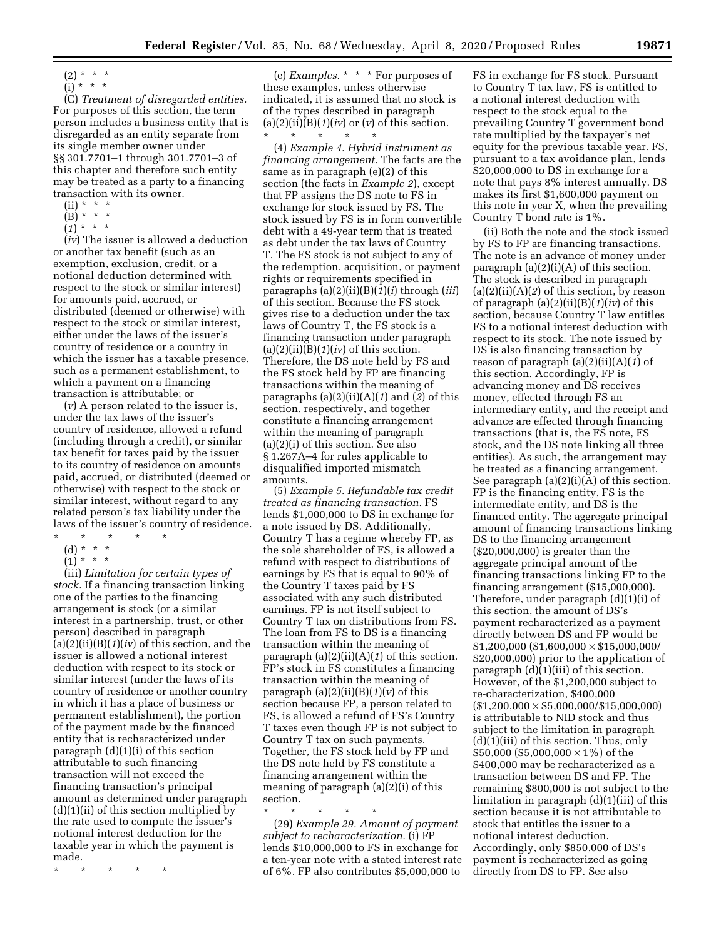$(i) * * * *$ 

(C) *Treatment of disregarded entities.*  For purposes of this section, the term person includes a business entity that is disregarded as an entity separate from its single member owner under §§ 301.7701–1 through 301.7701–3 of this chapter and therefore such entity may be treated as a party to a financing transaction with its owner.

- $(ii) * * * *$
- $(B) * * * *$
- $(1)^{x}$  \* \*

(*iv*) The issuer is allowed a deduction or another tax benefit (such as an exemption, exclusion, credit, or a notional deduction determined with respect to the stock or similar interest) for amounts paid, accrued, or distributed (deemed or otherwise) with respect to the stock or similar interest, either under the laws of the issuer's country of residence or a country in which the issuer has a taxable presence, such as a permanent establishment, to which a payment on a financing transaction is attributable; or

(*v*) A person related to the issuer is, under the tax laws of the issuer's country of residence, allowed a refund (including through a credit), or similar tax benefit for taxes paid by the issuer to its country of residence on amounts paid, accrued, or distributed (deemed or otherwise) with respect to the stock or similar interest, without regard to any related person's tax liability under the laws of the issuer's country of residence.

- \* \* \* \* \*
- (d) \* \* \*
- $(1) * * * *$

(iii) *Limitation for certain types of stock.* If a financing transaction linking one of the parties to the financing arrangement is stock (or a similar interest in a partnership, trust, or other person) described in paragraph (a)(2)(ii)(B)(*1*)(*iv*) of this section, and the issuer is allowed a notional interest deduction with respect to its stock or similar interest (under the laws of its country of residence or another country in which it has a place of business or permanent establishment), the portion of the payment made by the financed entity that is recharacterized under paragraph (d)(1)(i) of this section attributable to such financing transaction will not exceed the financing transaction's principal amount as determined under paragraph  $(d)(1)(ii)$  of this section multiplied by the rate used to compute the issuer's notional interest deduction for the taxable year in which the payment is made.

\* \* \* \* \*

(e) *Examples.* \* \* \* For purposes of these examples, unless otherwise indicated, it is assumed that no stock is of the types described in paragraph  $(a)(2)(ii)(B)(1)(iv)$  or  $(v)$  of this section. \* \* \* \* \*

(4) *Example 4. Hybrid instrument as financing arrangement.* The facts are the same as in paragraph (e)(2) of this section (the facts in *Example 2*), except that FP assigns the DS note to FS in exchange for stock issued by FS. The stock issued by FS is in form convertible debt with a 49-year term that is treated as debt under the tax laws of Country T. The FS stock is not subject to any of the redemption, acquisition, or payment rights or requirements specified in paragraphs (a)(2)(ii)(B)(*1*)(*i*) through (*iii*) of this section. Because the FS stock gives rise to a deduction under the tax laws of Country T, the FS stock is a financing transaction under paragraph  $(a)(2)(ii)(B)(1)(iv)$  of this section. Therefore, the DS note held by FS and the FS stock held by FP are financing transactions within the meaning of paragraphs (a)(2)(ii)(A)(*1*) and (*2*) of this section, respectively, and together constitute a financing arrangement within the meaning of paragraph (a)(2)(i) of this section. See also § 1.267A–4 for rules applicable to disqualified imported mismatch amounts.

(5) *Example 5. Refundable tax credit treated as financing transaction.* FS lends \$1,000,000 to DS in exchange for a note issued by DS. Additionally, Country T has a regime whereby FP, as the sole shareholder of FS, is allowed a refund with respect to distributions of earnings by FS that is equal to 90% of the Country T taxes paid by FS associated with any such distributed earnings. FP is not itself subject to Country T tax on distributions from FS. The loan from FS to DS is a financing transaction within the meaning of paragraph (a)(2)(ii)(A)(*1*) of this section. FP's stock in FS constitutes a financing transaction within the meaning of paragraph  $(a)(2)(ii)(B)(1)(v)$  of this section because FP, a person related to FS, is allowed a refund of FS's Country T taxes even though FP is not subject to Country T tax on such payments. Together, the FS stock held by FP and the DS note held by FS constitute a financing arrangement within the meaning of paragraph (a)(2)(i) of this section.

\* \* \* \* \*

(29) *Example 29. Amount of payment subject to recharacterization.* (i) FP lends \$10,000,000 to FS in exchange for a ten-year note with a stated interest rate of 6%. FP also contributes \$5,000,000 to

FS in exchange for FS stock. Pursuant to Country T tax law, FS is entitled to a notional interest deduction with respect to the stock equal to the prevailing Country T government bond rate multiplied by the taxpayer's net equity for the previous taxable year. FS, pursuant to a tax avoidance plan, lends \$20,000,000 to DS in exchange for a note that pays 8% interest annually. DS makes its first \$1,600,000 payment on this note in year X, when the prevailing Country T bond rate is 1%.

(ii) Both the note and the stock issued by FS to FP are financing transactions. The note is an advance of money under paragraph (a)(2)(i)(A) of this section. The stock is described in paragraph (a)(2)(ii)(A)(*2*) of this section, by reason of paragraph (a)(2)(ii)(B)(*1*)(*iv*) of this section, because Country T law entitles FS to a notional interest deduction with respect to its stock. The note issued by DS is also financing transaction by reason of paragraph (a)(2)(ii)(A)(*1*) of this section. Accordingly, FP is advancing money and DS receives money, effected through FS an intermediary entity, and the receipt and advance are effected through financing transactions (that is, the FS note, FS stock, and the DS note linking all three entities). As such, the arrangement may be treated as a financing arrangement. See paragraph  $(a)(2)(i)(A)$  of this section. FP is the financing entity, FS is the intermediate entity, and DS is the financed entity. The aggregate principal amount of financing transactions linking DS to the financing arrangement (\$20,000,000) is greater than the aggregate principal amount of the financing transactions linking FP to the financing arrangement (\$15,000,000). Therefore, under paragraph (d)(1)(i) of this section, the amount of DS's payment recharacterized as a payment directly between DS and FP would be  $$1,200,000$  (\$1,600,000  $\times$  \$15,000,000/ \$20,000,000) prior to the application of paragraph (d)(1)(iii) of this section. However, of the \$1,200,000 subject to re-characterization, \$400,000  $(S1,200,000 \times$  \$5,000,000/\$15,000,000) is attributable to NID stock and thus subject to the limitation in paragraph (d)(1)(iii) of this section. Thus, only \$50,000 (\$5,000,000  $\times$  1%) of the \$400,000 may be recharacterized as a transaction between DS and FP. The remaining \$800,000 is not subject to the limitation in paragraph (d)(1)(iii) of this section because it is not attributable to stock that entitles the issuer to a notional interest deduction. Accordingly, only \$850,000 of DS's payment is recharacterized as going directly from DS to FP. See also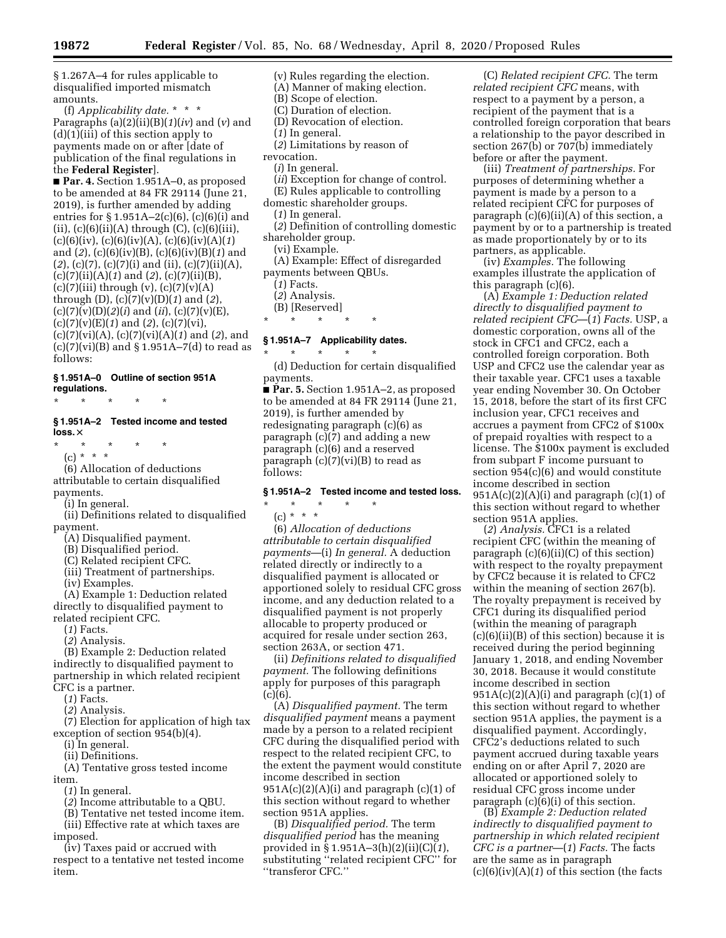§ 1.267A–4 for rules applicable to disqualified imported mismatch amounts.

(f) *Applicability date.* \* \* \* Paragraphs (a)(2)(ii)(B)(*1*)(*iv*) and (*v*) and  $(d)(1)(iii)$  of this section apply to payments made on or after [date of publication of the final regulations in the **Federal Register**].

■ **Par. 4.** Section 1.951A–0, as proposed to be amended at 84 FR 29114 (June 21, 2019), is further amended by adding entries for  $\S 1.951A - 2(c)(6)$ ,  $(c)(6)(i)$  and (ii), (c)(6)(ii)(A) through (C), (c)(6)(iii), (c)(6)(iv), (c)(6)(iv)(A), (c)(6)(iv)(A)(*1*) and (*2*), (c)(6)(iv)(B), (c)(6)(iv)(B)(*1*) and (*2*), (c)(7), (c)(7)(i) and (ii), (c)(7)(ii)(A), (c)(7)(ii)(A)(*1*) and (*2*), (c)(7)(ii)(B), (c)(7)(iii) through (v), (c)(7)(v)(A) through (D), (c)(7)(v)(D)(*1*) and (*2*), (c)(7)(v)(D)(*2*)(*i*) and (*ii*), (c)(7)(v)(E), (c)(7)(v)(E)(*1*) and (*2*), (c)(7)(vi), (c)(7)(vi)(A), (c)(7)(vi)(A)(*1*) and (*2*), and  $(c)(7)(vi)(B)$  and  $\S 1.951A-7(d)$  to read as follows:

#### **§ 1.951A–0 Outline of section 951A regulations.**

\* \* \* \* \*

# **§ 1.951A–2 Tested income and tested**  loss. $\times$

- \* \* \* \* \*
- (c) \* \* \*

(6) Allocation of deductions attributable to certain disqualified payments.

(i) In general.

(ii) Definitions related to disqualified payment.

- (A) Disqualified payment.
- (B) Disqualified period.
- (C) Related recipient CFC.
- (iii) Treatment of partnerships.
- (iv) Examples.

(A) Example 1: Deduction related directly to disqualified payment to related recipient CFC.

- (*1*) Facts.
- (*2*) Analysis.

(B) Example 2: Deduction related indirectly to disqualified payment to partnership in which related recipient CFC is a partner.

- (*1*) Facts.
- (*2*) Analysis.

(7) Election for application of high tax exception of section 954(b)(4).

(i) In general.

(ii) Definitions.

(A) Tentative gross tested income item.

- (*1*) In general.
- (*2*) Income attributable to a QBU.
- (B) Tentative net tested income item.

(iii) Effective rate at which taxes are imposed.

(iv) Taxes paid or accrued with respect to a tentative net tested income item.

(v) Rules regarding the election. (A) Manner of making election.

- (B) Scope of election.
- (C) Duration of election.
- (D) Revocation of election.
- (*1*) In general.
- (*2*) Limitations by reason of
- revocation.
- (*i*) In general.
- (*ii*) Exception for change of control.
- (E) Rules applicable to controlling
- domestic shareholder groups.
	- (*1*) In general.
- (*2*) Definition of controlling domestic shareholder group.
	- (vi) Example.
- (A) Example: Effect of disregarded payments between QBUs.
	- (*1*) Facts.
	- (*2*) Analysis.
	- (B) [Reserved]
- \* \* \* \* \*

# **§ 1.951A–7 Applicability dates.**

\* \* \* \* \*

(d) Deduction for certain disqualified payments.

■ **Par. 5.** Section 1.951A–2, as proposed to be amended at 84 FR 29114 (June 21, 2019), is further amended by redesignating paragraph (c)(6) as paragraph (c)(7) and adding a new paragraph (c)(6) and a reserved paragraph  $(c)(7)(vi)(B)$  to read as follows:

#### **§ 1.951A–2 Tested income and tested loss.**

# \* \* \* \* \*

 $(c) * * * *$ 

(6) *Allocation of deductions attributable to certain disqualified payments*—(i) *In general.* A deduction related directly or indirectly to a disqualified payment is allocated or apportioned solely to residual CFC gross income, and any deduction related to a disqualified payment is not properly allocable to property produced or acquired for resale under section 263, section 263A, or section 471.

(ii) *Definitions related to disqualified payment.* The following definitions apply for purposes of this paragraph  $(c)(6)$ .

(A) *Disqualified payment.* The term *disqualified payment* means a payment made by a person to a related recipient CFC during the disqualified period with respect to the related recipient CFC, to the extent the payment would constitute income described in section  $951A(c)(2)(A)(i)$  and paragraph  $(c)(1)$  of this section without regard to whether section 951A applies.

(B) *Disqualified period.* The term *disqualified period* has the meaning provided in § 1.951A–3(h)(2)(ii)(C)(*1*), substituting ''related recipient CFC'' for ''transferor CFC.''

(C) *Related recipient CFC.* The term *related recipient CFC* means, with respect to a payment by a person, a recipient of the payment that is a controlled foreign corporation that bears a relationship to the payor described in section 267(b) or 707(b) immediately before or after the payment.

(iii) *Treatment of partnerships.* For purposes of determining whether a payment is made by a person to a related recipient CFC for purposes of paragraph  $(c)(6)(ii)(A)$  of this section, a payment by or to a partnership is treated as made proportionately by or to its partners, as applicable.

(iv) *Examples.* The following examples illustrate the application of this paragraph (c)(6).

(A) *Example 1: Deduction related directly to disqualified payment to related recipient CFC*—(*1*) *Facts.* USP, a domestic corporation, owns all of the stock in CFC1 and CFC2, each a controlled foreign corporation. Both USP and CFC2 use the calendar year as their taxable year. CFC1 uses a taxable year ending November 30. On October 15, 2018, before the start of its first CFC inclusion year, CFC1 receives and accrues a payment from CFC2 of \$100x of prepaid royalties with respect to a license. The \$100x payment is excluded from subpart F income pursuant to section 954(c)(6) and would constitute income described in section  $951A(c)(2)(A)(i)$  and paragraph (c)(1) of this section without regard to whether section 951A applies.

(*2*) *Analysis.* CFC1 is a related recipient CFC (within the meaning of paragraph  $(c)(6)(ii)(C)$  of this section) with respect to the royalty prepayment by CFC2 because it is related to CFC2 within the meaning of section 267(b). The royalty prepayment is received by CFC1 during its disqualified period (within the meaning of paragraph (c)(6)(ii)(B) of this section) because it is received during the period beginning January 1, 2018, and ending November 30, 2018. Because it would constitute income described in section  $951A(c)(2)(A)(i)$  and paragraph  $(c)(1)$  of this section without regard to whether section 951A applies, the payment is a disqualified payment. Accordingly, CFC2's deductions related to such payment accrued during taxable years ending on or after April 7, 2020 are allocated or apportioned solely to residual CFC gross income under paragraph  $(c)(6)(i)$  of this section.

(B) *Example 2: Deduction related indirectly to disqualified payment to partnership in which related recipient CFC is a partner*—(*1*) *Facts.* The facts are the same as in paragraph (c)(6)(iv)(A)(*1*) of this section (the facts